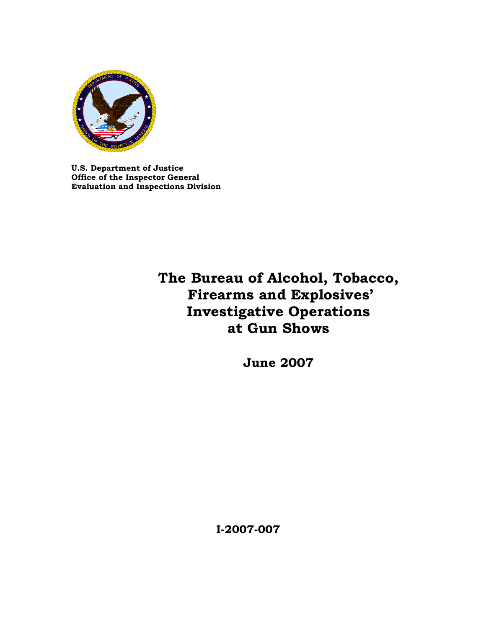

**U.S. Department of Justice Office of the Inspector General Evaluation and Inspections Division**

# **The Bureau of Alcohol, Tobacco, Firearms and Explosives' Investigative Operations at Gun Shows**

**June 2007** 

**I-2007-007**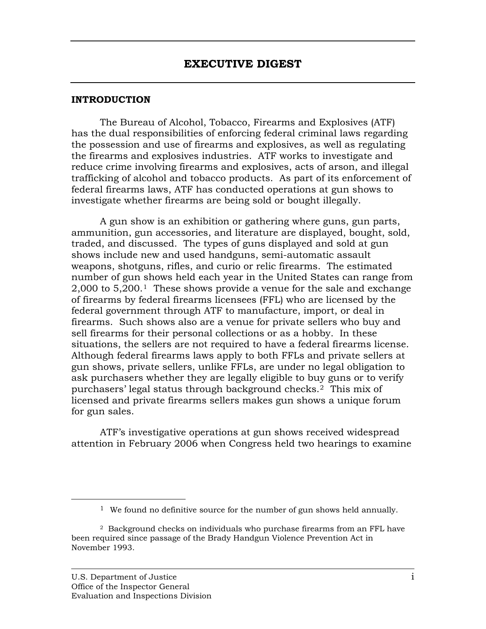#### **INT RODUCTION**

The Bureau of Alcohol, Tobacco, Firearms and Explosives (ATF) has the dual responsibilities of enforcing federal criminal laws regarding the possession and use of firearms and explosives, as well as regulating the firearms and explosives industries. ATF works to investigate and reduce crime involving firearms and explosives, acts of arson, and illegal federal firearms laws, ATF has conducted operations at gun shows to . investigate whether firearms are being sold or bought illegally trafficking of alcohol and tobacco products. As part of its enforcement of

A gun show is an exhibition or gathering where guns, gun parts, ammunition, gun accessories, and literature are displayed, bought, sold, traded, and discussed. The types of guns displayed and sold at gun shows include new and used handguns, semi-automatic assault weapons, shotguns, rifles, and curio or relic firearms. The estimated number of gun shows held each year in the United States can range from  $2,000$  to  $5,200$ .<sup>[1](#page-1-0)</sup> These shows provide a venue for the sale and exchange of firearms by federal firearms licensees (FFL) who are licensed by the federal government through ATF to manufacture, import, or deal in firearms. Such shows also are a venue for private sellers who buy and sell firearms for their personal collections or as a hobby. In these situations, the sellers are not required to have a federal firearms license. Although federal firearms laws apply to both FFLs and private sellers at gun shows, private sellers, unlike FFLs, are under no legal obligation to ask purchasers whether they are legally eligible to buy guns or to verify purchasers' legal status through background checks.<sup>2</sup> This mix of licensed and private firearms sellers makes gun shows a unique forum for gun sales.

attention in February 2006 when Congress held two hearings to examine ATF's investigative operations at gun shows received widespread

<span id="page-1-0"></span>1

<sup>&</sup>lt;sup>1</sup> We found no definitive source for the number of gun shows held annually.

<sup>2</sup> Background checks on individuals who purchase firearms from an FFL have been required since passage of the Brady Handgun Violence Prevention Act in November 1993.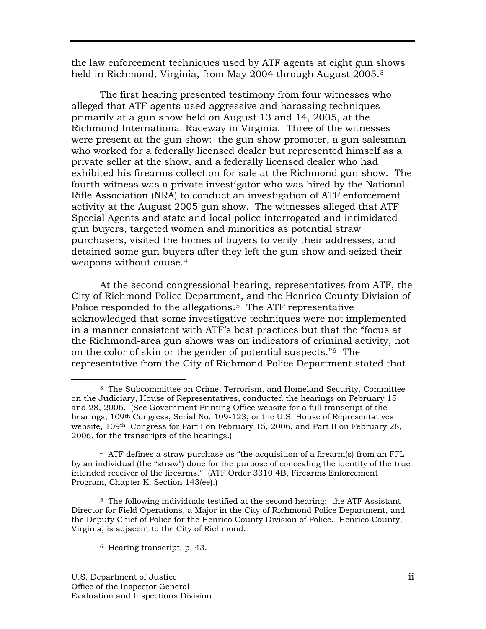the law enforcement techniques used by ATF agents at eight gun shows held in Richmond, Virginia, from May 2004 through August 2005.<sup>3</sup>

The first hearing presented testimony from four witnesses who alleged that ATF agents used aggressive and harassing techniques primarily at a gun show held on August 13 and 14, 2005, at the Richmond International Raceway in Virginia. Three of the witnesses were present at the gun show: the gun show promoter, a gun salesman who worked for a federally licensed dealer but represented himself as a private seller at the show, and a federally licensed dealer who had exhibited his firearms collection for sale at the Richmond gun show. The fourth witness was a private investigator who was hired by the National Rifle Association (NRA) to conduct an investigation of ATF enforcement activity at the August 2005 gun show. The witnesses alleged that ATF Special Agents and state and local police interrogated and intimidated gun buyers, targeted women and minorities as potential straw purchasers, visited the homes of buyers to verify their addresses, and detained some gun buyers after they left the gun show and seized their weapons without cause.[4](#page-2-0)

At the second congressional hearing, representatives from ATF, the City of Richmond Police Department, and the Henrico County Division of in a manner consistent with ATF's best practices but that the "focus at the Richmond-area gun shows was on indicators of criminal activity, not representative from the City of Richmond Police Department stated that Police responded to the allegations.<sup>[5](#page-2-1)</sup> The ATF representative acknowledged that some investigative techniques were not implemented on the color of skin or the gender of potential suspects."6 The

<span id="page-2-1"></span><span id="page-2-0"></span>5 The following individuals testified at the second hearing: the ATF Assistant Director for Field Operations, a Major in the City of Richmond Police Department, and the Deputy Chief of Police for the Henrico County Division of Police. Henrico County, Virginia, is adjacent to the City of Richmond.

6 Hearing transcript, p. 43.

 $\overline{a}$ 

<sup>&</sup>lt;sup>3</sup> The Subcommittee on Crime, Terrorism, and Homeland Security, Committee on the Judiciary, House of Representatives, conducted the hearings on Fe bruary 15 and 28, 2006. (See Government Printing Office website for a full tr anscript of the hearings, 109<sup>th</sup> Congress, Serial No. 109-123; or the U.S. House of Representatives website,  $109<sup>th</sup>$  Congress for Part I on February 15, 2006, and Part II on February 28, 2006, for the transcripts of the hearings.)

 $4$  ATF defines a straw purchase as "the acquisition of a firearm(s) from an FFL by an individual (the "straw") done for the purpose of concealing the identity of the true intended receiver of the firearms." (ATF Order 3310.4B, Firearms Enforcement Program, Chapter K, Section 143(ee).)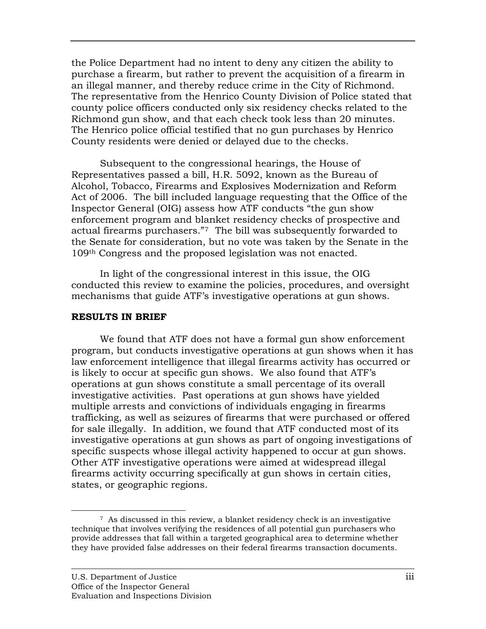the Police Department had no intent to deny any citizen the ability to purchase a firearm, but rather to prevent the acquisition of a firearm in an illegal manner, and thereby reduce crime in the City of Ric hmond. The representative from the Henrico County Division of Polic e stated that county police officers conducted only six residency checks r elated to the Richmond gun show, and that each check took less than 2 0 minutes. The Henrico police official testified that no gun purchases by Henrico County residents were denied or delayed due to the checks.

Subsequent to the congressional hearings, the House of Representatives passed a bill, H.R. 5092, known as the Bureau of Alcohol, Tobacco, Firearms and Explosives Modernization and Reform Act of 2006. The bill included language requesting that the Office of the Inspector General (OIG) assess how ATF conducts "the gun show enforcement program and blanket residency checks of prospective and actual firearms purchasers."7 The bill was subsequently forwarded to the Senate for consideration, but no vote was taken by the Senate in the 109<sup>th</sup> Congress and the proposed legislation was not enacted.

In light of the congressional interest in this issue, the OIG conducted this review to examine the policies, procedures, and oversight mechanisms that guide ATF's investigative operations at gun shows.

## **RESULTS IN BRIEF**

We found that ATF does not have a formal gun show enforcement program, but conducts investigative operations at gun shows when it has law enforcement intelligence that illegal firearms activity has occurred or is likely to occur at specific gun shows. We also found that ATF's operations at gun shows constitute a small percentage of its overall investigative activities. Past operations at gun shows have yielded multiple arrests and convictions of individuals engaging in firearms trafficking, as well as seizures of firearms that were purchased or offered for sale illegally. In addition, we found that ATF conducted most of its investigative operations at gun shows as part of ongoing investigations of specific suspects whose illegal activity happened to occur at gun shows. Other ATF investigative operations were aimed at widespread illegal firearms activity occurring specifically at gun shows in certain cities, states, or geographic regions.

 $\overline{a}$ 7 As discussed in this review, a blanket residency check is an investigative technique that involves verifying the residences of all potential gun purchasers who provide addresses that fall within a targeted geographical area to determine whether they have provided false addresses on their federal firearms transaction documents.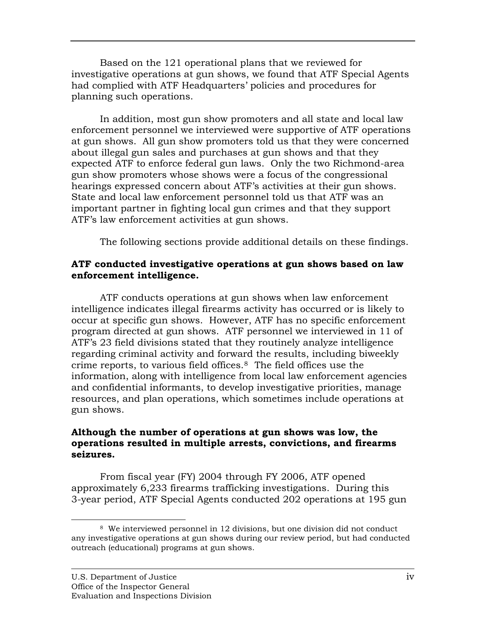Based on the 121 operational plans that we reviewed fo r investigative operations at gun shows, we found that AT F Special Agents had complied with AT F Headquarters' policies and procedures for pla nning such operations.

In addition, most gun show promoters and all state and local law enforcement personnel we interviewed were supportive of ATF operations at gun shows. All gun show promoters told us that they were concerned about illegal gun sales and purchases at gun shows and that they expected ATF to enforce federal gun laws. Only the two Richmond-area gun show promoters whose shows were a focus of the congressional hearings expressed concern about ATF's activities at their gun shows. State and local law enforcement personnel told us that ATF was an important partner in fighting local gun crimes and that they support ATF's law enforcement activities at gun shows.

The following sections provide additional details on these findings.

# ATF conducted investigative operations at gun shows based on law **enforcement intelligence.**

ATF conducts operations at gun shows when law enforcement intelligence indicates illegal firearms activity has occurred or is likely to occur at specific gun shows. However, ATF has no specific enforcement program directed at gun shows. ATF personnel we interviewed in 11 of ATF's 23 field divisions stated that they routinely analyze intelligence regarding criminal activity and forward the results, including biweekly crime reports, to various field offices. $8$  The field offices use the information, along with intelligence from local law enforcement agencies and confidential informants, to develop investigative priorities, manage resources, and plan operations, which sometimes include operations at gun shows.

# Although the number of operations at gun shows was low, the **operations resulted in multiple arrests, convictions, and firearms sei zures.**

From fiscal year (FY) 2004 through FY 2006, ATF opened approximately 6,233 firearms trafficking investigations. During this 3-year period, ATF Special Agents conducted 202 operations at 195 gun

<sup>1</sup> 8 We interviewed personnel in 12 divisions, but one division did not conduct any investigative operations at gun shows during our review period, but had conducted outreach (educational) programs at gun shows.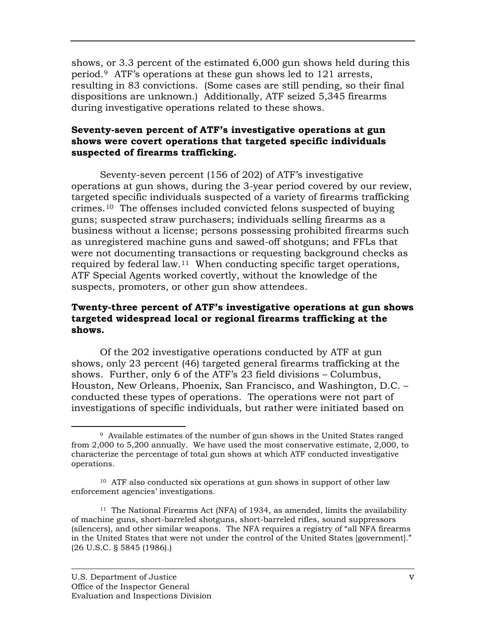shows, or 3.3 percent of the estimated 6,000 gun show s held during this period.<sup>[9](#page-5-0)</sup> ATF's operations at these gun shows led to 121 arrests, resulting in 83 convictions. (Some cases are still pending, so their final dispositions are unknown.) Additionally, ATF seized 5,345 firearms during investigative operations related to these shows.

# **Seventy-seven percent of ATF's investigative operations at gun shows were covert operations that targeted specific individuals sus pected of firearms trafficking.**

Seventy-seven percent (156 of 202) of ATF's investigative operations at gun shows, during the 3-year period covered by our review, targeted specific individuals suspected of a variety of firearms trafficking crimes.<sup>[10](#page-5-1)</sup> The offenses included convicted felons suspected of buying guns; suspected straw purchasers; individuals selling firearms as a business without a license; persons possessing prohibited firearms such as unregistered machine guns and sawed-off shotguns; and FFLs that required by federal law.<sup>11</sup> When conducting specific target operations, ATF Special Agents worked covertly, without the knowledge of the suspects, promoters, or other gun show attendees. were not documenting transactions or requesting background checks as

# Twenty-three percent of ATF's investigative operations at gun shows **g at the targeted widespread local or regional firearms traffickin shows.**

Of the 202 investigative operations conducted by ATF at gun shows, only 23 percent (46) targeted general firearms trafficking at the shows. Further, only 6 of the ATF's 23 field divisions – Columbus, Houston, New Orleans, Phoenix, San Francisco, and Washington, D.C. – conducted these types of operations. The operations were not part of investigations of specific individuals, but rather were initiated based on

 $\overline{a}$ 

<span id="page-5-0"></span> $9$  Available estimates of the number of gun shows in the United States ranged from  $2,000$  to  $5,200$  annually. We have used the most conservative estimate,  $2,000$ , to characterize the percentage of total gun shows at which ATF conducted investigative operations.

<span id="page-5-1"></span><sup>10</sup> ATF also conducted six operations at gun shows in support of other law enforcement agencies' investigations.

<sup>11</sup> The National Firearms Act (NFA) of 1934, as amended, limits the availability of machine guns, short-barreled shotguns, short-barreled rifles, sound suppressors (silencers), and other similar weapons. The NFA requires a registry of "all NFA firearms in the United States that were not under the control of the United States [government]." (26 U.S.C. § 5845 (1986).)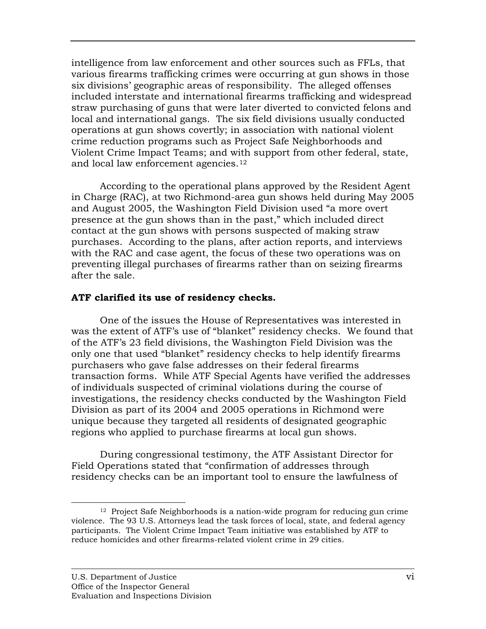intelligence from law enforcement and other sources such as FFLs, that various firearms trafficking crimes were occurring at gun shows in those six divisions' geographic areas of responsibility. The alleged o ffenses included interstate and international firearms trafficking and widespread straw purchasing of guns that were later diverted to convicte d felons and local and international gangs. The six field divisions usua lly conducted operations at gun shows covertly; in association with nationa l violent crime reduction programs such as Project Safe Neighborhoods and Violent Crime Impact Teams; and with support from other federal, state, and local law enforcement agencies.12

According to the operational plans approved by the Resident Agent in Charge (RAC), at two Richmond-area gun shows held during May 2005 and August 2005, the Washington Field Division used "a more overt presence at the gun shows than in the past," which included direct contact at the gun shows with persons suspected of making straw purchases. According to the plans, after action reports, and interviews with the RAC and case agent, the focus of these two operations was on preventing illegal purchases of firearms rather than on seizing firearms aft er the sale.

# **ATF clarified its use of residency checks.**

One of the issues the House of Representatives was interested in was the extent of ATF's use of "blanket" residency checks. We found that of the ATF's 23 field divisions, the Washington Field Division was the only one that used "blanket" residency checks to help identify firearms purchasers who gave false addresses on their federal firearms transaction forms. While ATF Special Agents have verified the addresses of individuals suspected of criminal violations during the course of investigations, the residency checks conducted by the Washington Field Division as part of its 2004 and 2005 operations in Richmond were unique because they targeted all residents of designated geographic regions who applied to purchase firearms at local gun shows.

During congressional testimony, the ATF Assistant Director for Field Operations stated that "confirmation of addresses through residency checks can be an important tool to ensure the lawfulness of

<sup>1</sup> 12 Project Safe Neighborhoods is a nation-wide program for reducing gun crime violence. The 93 U.S. Attorneys lead the task forces of local, state, and federal agency participants. The Violent Crime Impact Team initiative was established by ATF to reduce homicides and other firearms-related violent crime in 29 cities.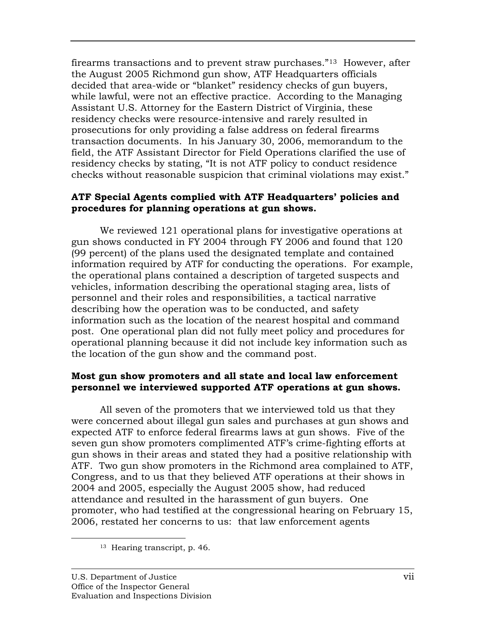firearms transactions and to prevent straw purchases." 13 However, after the August 2005 Richmond gun show, ATF Headquarters officials decided that area-wide or "blanket" residency checks of gun buyers, while lawful, were not an effective practice. According to the Managing Assistant U.S. Attorney for the Eastern District of Virgin ia, these residency checks were resource-intensive and rarely resulted in prosecutions for only providing a false address on federal fire arms transaction documents. In his January 30, 2006, memora ndum to the field, the ATF Assistant Director for Field Operations clarified t he use of residency checks by stating, "It is not ATF policy to conduct residence checks without reasonable suspicion that criminal violations may exist."

# **ATF Special Agents complied with ATF Headquarters' policies and procedures for planning operations at gun shows.**

We reviewed 121 operational plans for investigative operations at gun shows conducted in FY 2004 through FY 2006 and found that 120 (99 percent) of the plans used the designated template and contained information required by ATF for conducting the operations. For example, the operational plans contained a description of targeted suspects and vehicles, information describing the operational staging area, lists of personnel and their roles and responsibilities, a tactical narrative describing how the operation was to be conducted, and safety information such as the location of the nearest hospital and command post. One operational plan did not fully meet policy and procedures for operational planning because it did not include key information such as the location of the gun show and the command post.

# **Most gun show promoters and all state and local law enforcement** personnel we interviewed supported ATF operations at gun shows.

All seven of the promoters that we interviewed told us that they were concerned about illegal gun sales and purchases at gun shows and expected ATF to enforce federal firearms laws at gun shows. Five of the seven gun show promoters complimented ATF's crime-fighting efforts at ATF. Two gun show promoters in the Richmond area complained to ATF, Congress, and to us that they believed ATF operations at their shows in 2004 and 2005, especially the August 2005 show, had reduced attendance and resulted in the harassment of gun buyers.One promoter, who had testified at the congressional hearing on February 15, 2006, restated her concerns to us: that law enforcement agents gun shows in their areas and stated they had a positive relationship with

 $\overline{a}$ 

<sup>13</sup> Hearing transcript, p. 46.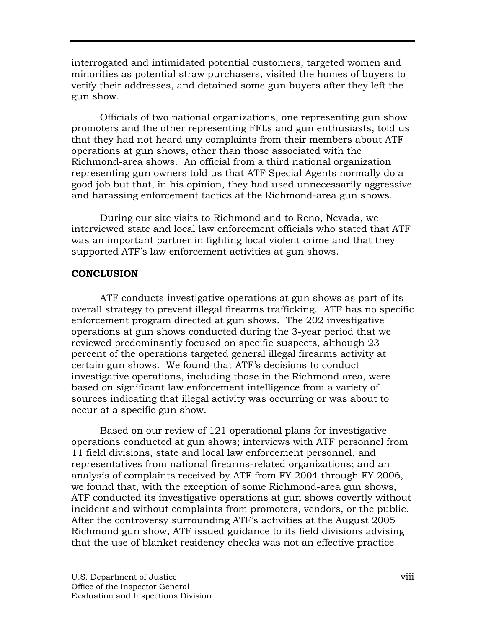interrogated and intimidated potential customers, targeted w omen and minorities as potential straw purchasers, visited the homes o f buyers to verify th eir addresses, and detained some gun buyers after they left the gun show.

Officials of two national organizations, one representing gun show promoters and the other representing FFLs and gun enthusiasts, told us that they had not heard any complaints from their members about ATF operations at gun shows, other than those associated with the Richmond-area shows. An official from a third national organization representing gun owners told us that ATF Special Agents normally do a good job but that, in his opinion, they had used unnecessarily aggressive and harassing enforcement tactics at the Richmond-area gun shows.

During our site visits to Richmond and to Reno, Nevada, we interviewed state and local law enforcement officials who stated that ATF was an important partner in fighting local violent crime and that they sup ported ATF's law enforcement activities at gun shows.

# **CONCLUSION**

ATF conducts investigative operations at gun shows as part of its overall strategy to prevent illegal firearms trafficking. ATF has no specific enforcement program directed at gun shows. The 202 investigative operations at gun shows conducted during the 3-year period that we reviewed predominantly focused on specific suspects, although 23 percent of the operations targeted general illegal firearms activity at certain gun shows. We found that ATF's decisions to conduct investigative operations, including those in the Richmond area, were based on significant law enforcement intelligence from a variety of sources indicating that illegal activity was occurring or was about to occur at a specific gun show.

Based on our review of 121 operational plans for investigative operations conducted at gun shows; interviews with ATF personnel from 11 field divisions, state and local law enforcement personnel, and representatives from national firearms-related organizations; and an analysis of complaints received by ATF from FY 2004 through FY 2006, we found that, with the exception of some Richmond-area gun shows, ATF conducted its investigative operations at gun shows covertly without incident and without complaints from promoters, vendors, or the public. After the controversy surrounding ATF's activities at the August 2005 Richmond gun show, ATF issued guidance to its field divisions advising that the use of blanket residency checks was not an effective practice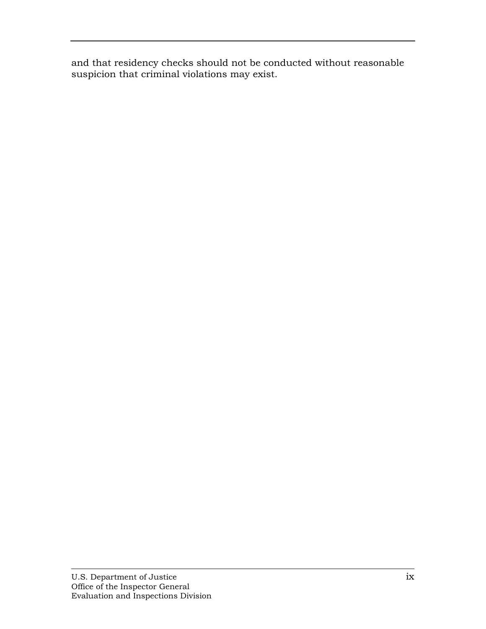and that residency checks should not be conducted without reasonable suspicion that criminal violations may exist.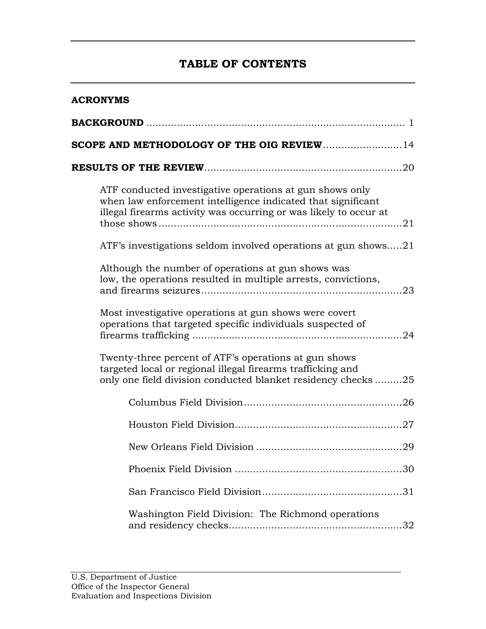# **TABLE OF CONTENTS**

| <b>ACRONYMS</b>                                                                                                                                                                               |  |  |  |  |  |
|-----------------------------------------------------------------------------------------------------------------------------------------------------------------------------------------------|--|--|--|--|--|
|                                                                                                                                                                                               |  |  |  |  |  |
| SCOPE AND METHODOLOGY OF THE OIG REVIEW14                                                                                                                                                     |  |  |  |  |  |
|                                                                                                                                                                                               |  |  |  |  |  |
| ATF conducted investigative operations at gun shows only<br>when law enforcement intelligence indicated that significant<br>illegal firearms activity was occurring or was likely to occur at |  |  |  |  |  |
| ATF's investigations seldom involved operations at gun shows21                                                                                                                                |  |  |  |  |  |
| Although the number of operations at gun shows was<br>low, the operations resulted in multiple arrests, convictions,                                                                          |  |  |  |  |  |
| Most investigative operations at gun shows were covert<br>operations that targeted specific individuals suspected of                                                                          |  |  |  |  |  |
| Twenty-three percent of ATF's operations at gun shows<br>targeted local or regional illegal firearms trafficking and<br>only one field division conducted blanket residency checks25          |  |  |  |  |  |
|                                                                                                                                                                                               |  |  |  |  |  |
|                                                                                                                                                                                               |  |  |  |  |  |
|                                                                                                                                                                                               |  |  |  |  |  |
|                                                                                                                                                                                               |  |  |  |  |  |
|                                                                                                                                                                                               |  |  |  |  |  |
| Washington Field Division: The Richmond operations<br>32                                                                                                                                      |  |  |  |  |  |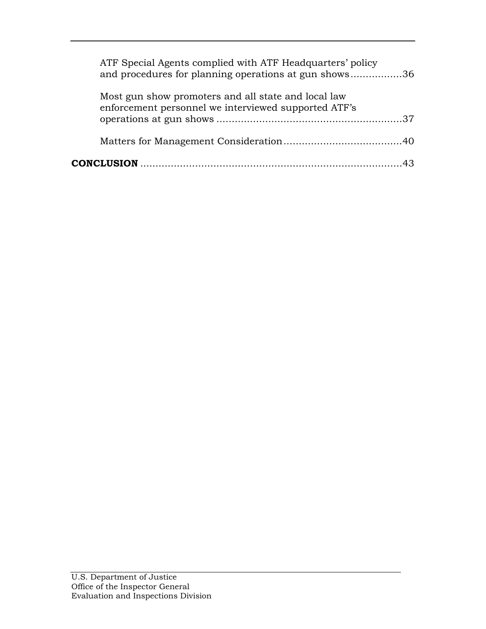| ATF Special Agents complied with ATF Headquarters' policy<br>and procedures for planning operations at gun shows36 |  |
|--------------------------------------------------------------------------------------------------------------------|--|
| Most gun show promoters and all state and local law<br>enforcement personnel we interviewed supported ATF's        |  |
|                                                                                                                    |  |
|                                                                                                                    |  |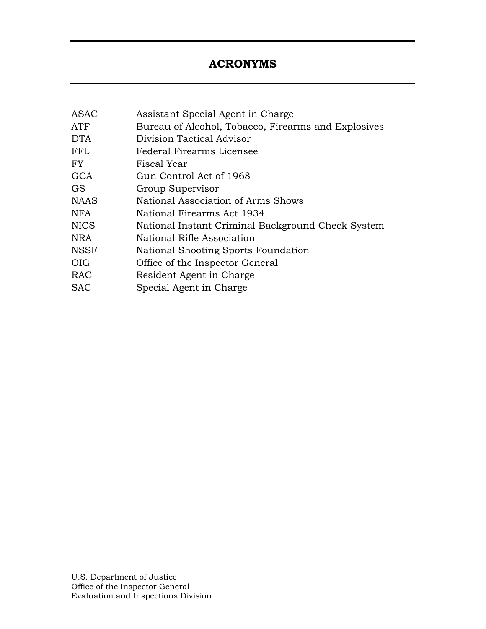# **ACRONYMS**

<span id="page-12-0"></span>

| ASAC       | Assistant Special Agent in Charge                   |
|------------|-----------------------------------------------------|
| ATF        | Bureau of Alcohol, Tobacco, Firearms and Explosives |
| <b>DTA</b> | Division Tactical Advisor                           |
| FFL        | Federal Firearms Licensee                           |
| FY         | Fiscal Year                                         |
| GCA        | Gun Control Act of 1968                             |
| <b>GS</b>  | Group Supervisor                                    |
| NAAS       | National Association of Arms Shows                  |
| NFA        | National Firearms Act 1934                          |
| NICS       | National Instant Criminal Background Check System   |
| NRA        | National Rifle Association                          |
| NSSF       | National Shooting Sports Foundation                 |
| OIG        | Office of the Inspector General                     |
| RAC        | Resident Agent in Charge                            |
| <b>SAC</b> | Special Agent in Charge                             |
|            |                                                     |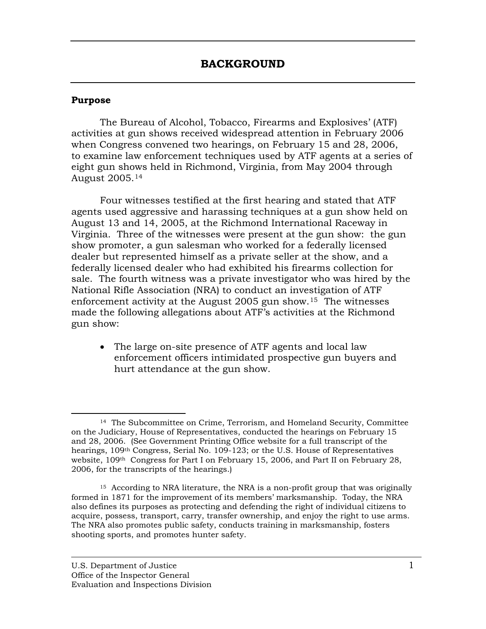## <span id="page-13-0"></span>**Pu rpose**

The Bureau of Alcohol, Tobacco, Firearms and Explosives' (ATF) activities at gun shows received widespread attention in February 2006 when Congress convened two hearings, on February 15 and 28, 2006, to examine law enforcement techniques used by ATF agents at a series of eight gun shows held in Richmond, Virginia, from May 2004 through August 2005.[14](#page-13-1)

Four witnesses testified at the first hearing and stated that ATF agents used aggressive and harassing techniques at a gun show held on August 13 and 14, 2005, at the Richmond International Raceway in Virginia. Three of the witnesses were present at the gun show: the gun show promoter, a gun salesman who worked for a federally licensed dealer but represented himself as a private seller at the show, and a federally licensed dealer who had exhibited his firearms collection for National Rifle Association (NRA) to conduct an investigation of ATF enforcement activity at the August  $2005$  gun show.<sup>15</sup> The witnesses made the following allegations about ATF's activities at the Richmond sale. The fourth witness was a private investigator who was hired by the gun show:

• The large on-site presence of ATF agents and local law enforcement officers intimidated prospective gun buyers and hurt attendance at the gun show.

 $\overline{a}$  $14$  The Subcommittee on Crime, Terrorism, and Homeland Security, Committee on the Judiciary, House of Representatives, conducted the hearings on February 15 and 28, 2006. (See Government Printing Office website for a full transcript of the hearings, 109<sup>th</sup> Congress, Serial No. 109-123; or the U.S. House of Representatives website,  $109<sup>th</sup>$  Congress for Part I on February 15, 2006, and Part II on February 28, 2006, for the transcripts of the hearings.)

<span id="page-13-1"></span><sup>&</sup>lt;sup>15</sup> According to NRA literature, the NRA is a non-profit group that was originally formed in 1871 for the improvement of its members' marksmanship. Today, the NRA also defines its purposes as protecting and defending the right of individual citizens to acquire, possess, transport, carry, transfer ownership, and enjoy the right to use arms. The NRA also promotes public safety, conducts training in marksmanship, fosters shooting sports, and promotes hunter safety.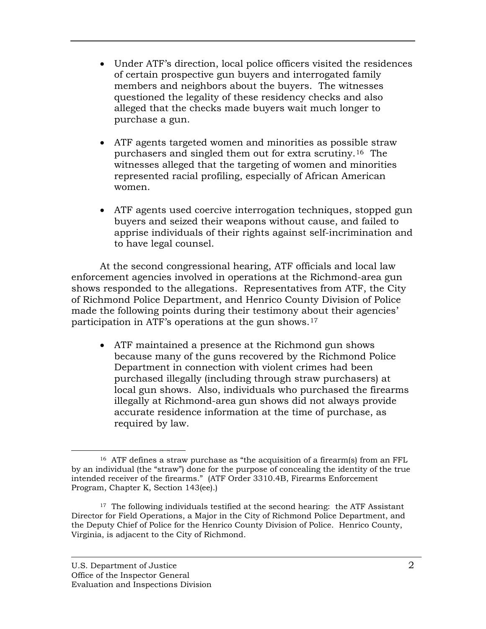- Under ATF's direction, local police officers visit ed the residences of certain prospective gun buyers and interroga ted family members and neighbors about the buyers. The w itnesses questioned the legality of these residency check s and also alleged that the checks made buyers wait much longer to purchase a gun.
- ATF agents targeted women and minorities as possible straw purchasers and singled them out for extra scrutiny.<sup>16</sup> The witnesses alleged that the targeting of women and minorities represented racial profiling, especially of African American women.
- ATF agents used coercive interrogation techniques, stopped gun buyers and seized their weapons without cause, and failed to apprise individuals of their rights against self-incrimination and to have legal counsel.

At the second congressional hearing, ATF officials and local law enforcement agencies involved in operations at the Richmond-area gun shows responded to the allegations. Representatives from ATF, the City of Richmond Police Department, and Henrico County Division of Police made the following points during their testimony about their agencies' participation in ATF's operations at the gun shows.17

• ATF maintained a presence at the Richmond gun shows because many of the guns recovered by the Richmond Police Department in connection with violent crimes had been purchased illegally (including through straw purchasers) at illegally at Richmond-area gun shows did not always provide accurate residence information at the time of purchase, as local gun shows. Also, individuals who purchased the firearms required by law.

 $\overline{a}$ 16 ATF defines a straw purchase as "the acquisition of a firearm(s) from an FFL by an individual (the "straw") done for the purpose of concealing the identity of the true intended receiver of the firearms." (ATF Order 3310.4B, Firearms Enforcement Program, Chapter K, Section 143(ee).)

<sup>&</sup>lt;sup>17</sup> The following individuals testified at the second hearing: the ATF Assistant Director for Field Operations, a Major in the City of Richmond Police Department, and the Deputy Chief of Police for the Henrico County Division of Police. Henrico County, Virginia, is adjacent to the City of Richmond.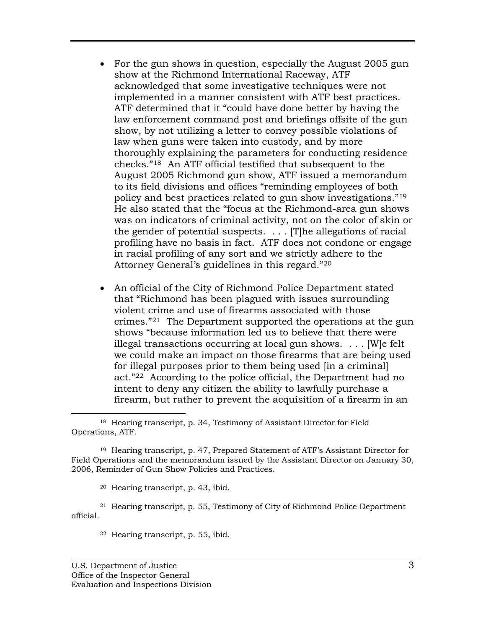- For the gun shows in question, especially the August 2005 gun show at the Richmond International Raceway, A TF acknowledged that some investigative techniques w ere not implemented in a manner consistent with ATF best practices. ATF determined that it "could have done better by h aving the law enforcement command post and briefings offs ite of the gun show, by not utilizing a letter to convey possible viol ations of law when guns were taken into custody, and by more thoroughly explaining the parameters for conductin g residence checks."<sup>[18](#page-15-0)</sup> An ATF official testified that subsequent to the August 2005 Richmond gun show, ATF issued a memorandum to its field divisions and offices "reminding employees of both policy and best practices related to gun show investigations."<sup>19</sup> He also stated that the "focus at the Richmond-area gun shows was on indicators of criminal activity, not on the color of skin or the gender of potential suspects.  $\ldots$  [T] he allegations of racial profiling have no basis in fact. ATF does not condone or engage in racial profiling of any sort and we strictly adhere to the Attorney General's guidelines in this regard."20
- An official of the City of Richmond Police Department stated that "Richmond has been plagued with issues surrounding violent crime and use of firearms associated with those crimes."<sup>[21](#page-15-1)</sup> The Department supported the operations at the gun shows "because information led us to believe that there were illegal transactions occurring at local gun shows.  $\dots$  [W]e felt we could make an impact on those firearms that are being used for illegal purposes prior to them being used [in a criminal] act."22 According to the police official, the Department had no intent to deny any citizen the ability to lawfully purchase a firearm, but rather to prevent the acquisition of a firearm in an

20 Hearing transcript, p. 43, ibid.

<span id="page-15-1"></span>21 Hearing transcript, p. 55, Testimony of City of Richmond Police Department official.

22 Hearing transcript, p. 55, ibid.

<span id="page-15-0"></span><sup>&</sup>lt;u>.</u> <sup>18</sup> Hearing transcript, p. 34, Testimony of Assistant Director for Field Ope rations, ATF.

<sup>19</sup> Hearing transcript, p. 47, Prepared Statement of ATF's Assistant Director for Field Operations and the memorandum issued by the Assistant Director on January 30, 2006, Reminder of Gun Show Policies and Practices.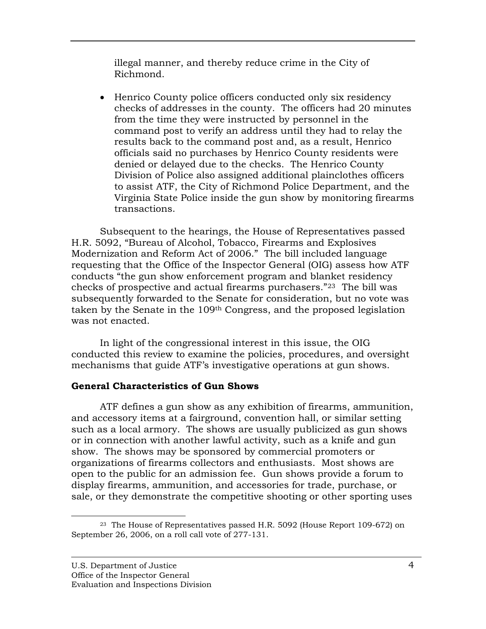illegal manner, and thereby reduce crime in the City of Richmond.

• Henrico County police officers conducted only six residency checks of addresses in the county. The officers had 20 minutes from the time they were instructed by personnel in the command post to verify an address until they had to relay the results back to the command post and, as a result, Henrico officials said no purchases by Henrico County residents were denied or delayed due to the checks. The Henrico County Division of Police also assigned additional plainclothes officers to assist ATF, the City of Richmond Police Department, and the Virginia State Police inside the gun show by monitoring firearms transactions.

Subsequent to the hearings, the House of Representatives passed H.R. 5092, "Bureau of Alcohol, Tobacco, Firearms and Explosives Modernization and Reform Act of 2006." The bill included language requesting that the Office of the Inspector General (OIG) assess how ATF conducts "the gun show enforcement program and blanket residency checks of prospective and actual firearms purchasers."23 The bill was taken by the Senate in the 109<sup>th</sup> Congress, and the proposed legislation subsequently forwarded to the Senate for consideration, but no vote was was not enacted.

conducted this review to examine the policies, procedures, and oversight mechanisms that guide ATF's investigative operations at gun shows. In light of the congressional interest in this issue, the OIG

# **General Characteristics of Gun Shows**

ATF defines a gun show as any exhibition of firearms, ammunition, and accessory items at a fairground, convention hall, or similar setting such as a local armory. The shows are usually publicized as gun shows or in connection with another lawful activity, such as a knife and gun show. The shows may be sponsored by commercial promoters or organizations of firearms collectors and enthusiasts. Most shows are open to the public for an admission fee. Gun shows provide a forum to display firearms, ammunition, and accessories for trade, purchase, or sale, or they demonstrate the competitive shooting or other sporting uses

 $\overline{a}$ 23 The House of Representatives passed H.R. 5092 (House Report 109-672) on September 26, 2006, on a roll call vote of 277-131.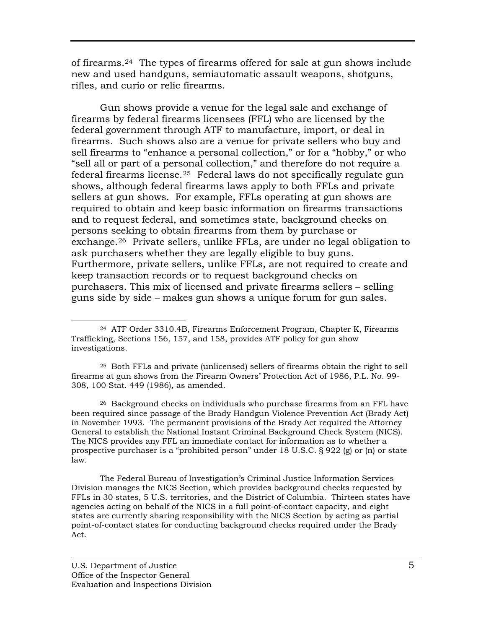of firearms.<sup>[24](#page-17-0)</sup> The types of firearms offered for sale at gun shows include new and used handguns, se miautomatic assault weapons, shotguns, rifles, and curio or relic firearms.

Gun shows provide a venue for the legal sale and exchange of firearms by federal firearms licensees (FFL) who are licensed by the federal government through ATF to manufacture, import, or deal in firearms. Such shows also are a venue for private sellers who buy and sell firearms to "enhance a personal collection," or for a "hobby," or who "sell all or part of a personal collection," and therefore do not require a federal firearms license.<sup>[25](#page-17-1)</sup> Federal laws do not specifically regulate gun shows, although federal firearms laws apply to both FFLs and private sellers at gun shows. For example, FFLs operating at gun shows are required to obtain and keep basic information on firearms transactions and to request federal, and sometimes state, background checks on persons seeking to obtain firearms from them by purchase or exchange.<sup>[26](#page-17-2)</sup> Private sellers, unlike FFLs, are under no legal obligation to ask purchasers whether they are legally eligible to buy guns. Furthermore, private sellers, unlike FFLs, are not required to create and keep transaction records or to request background checks on purchasers. This mix of licensed and private firearms sellers – selling guns side by side – makes gun shows a unique forum for gun sales.

<span id="page-17-1"></span> $25$  Both FFLs and private (unlicensed) sellers of firearms obtain the right to sell firearms at gun shows from the Firearm Owners' Protection Act of 1986, P.L. No. 99-308, 100 Stat. 449 (1986), as amended.

<span id="page-17-2"></span><sup>26</sup> Background checks on individuals who purchase firearms from an FFL have been required since passage of the Brady Handgun Violence Prevention Act (Brady Act) in November 1993. The permanent provisions of the Brady Act required the Attorney ). General to establish the National Instant Criminal Background Check System (NICS The NICS provides any FFL an immediate contact for information as to whether a prospective purchaser is a "prohibited person" under 18 U.S.C. § 922 (g) or (n) or state law.

The Federal Bureau of Investigation's Criminal Justice Information Services Division manages the NICS Section, which provides background checks requested by FFLs in 30 states, 5 U.S. territories, and the District of Columbia. Thirteen states have agencies acting on behalf of the NICS in a full point-of-contact capacity, and eight states are currently sharing responsibility with the NICS Section by acting as partial point-of-contact states for conducting background checks required under the Brady Act.

<span id="page-17-0"></span> $\overline{a}$ 24 ATF Order 3310.4B, Firearms Enforcement Program, Chapter K, Firearms Trafficking, Sections 156, 157, and 158, provides ATF policy for gun show inve stigations.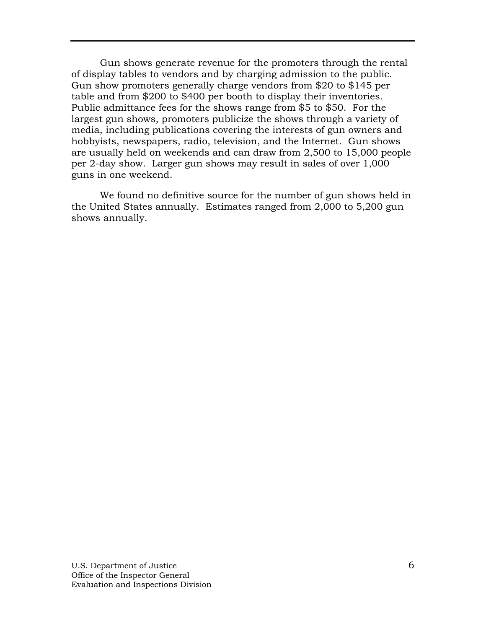Gun shows generate revenue for the promoters throu gh the rental of display tables to vendors and by charging admission to the public. Gun show promoters generally charge vendors from \$20 to \$145 per table and from \$200 to \$400 per booth to display their inve ntories. Public admittance fees for the shows range from \$5 to \$50. For the largest gun shows, promoters publicize the shows through a variety of media, including publications covering the interests of gun ow ners and hobbyists, newspapers, radio, television, and the Internet . Gun shows are usually held on weekends and can draw from 2,500 to 15,000 people per 2-day show. Larger gun shows may result in sales of over 1,000 guns in one weekend.

We found no definitive source for the number of gun shows held in the United States annually. Estimates ranged from 2,000 to 5,200 gun shows annually.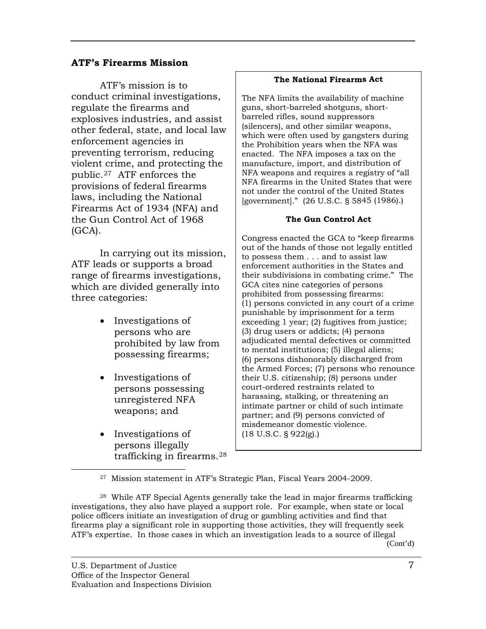## **ATF's Firearms Mission**

conduct criminal investigations, explosives industries, and assist other federal, state, and local law preventing terrorism, reducing violent crime, and protecting the provisions of federal firearms laws, including the National Firearms Act of 1934 (NFA) a nd the Gun Control Act of 1968 ATF's mission is to regulate the firearms and enforcement agencies in public. [27](#page-19-0) ATF enforces the (GCA).

In carrying out its mission, ATF leads or supports a broa d range of firearms investigations, which are divided generally into three categories:

- Investigations of persons who are prohibited by law from possessing firearms;
- Investigations of persons possessing unregistered NFA weapons; and
- Investigations of persons illegally trafficking in firearms.28

#### **The National Firearms Act**

The NFA limits the availability of machine guns, short-guns, short-barreled shot barreled rifles, sound suppressors (silencers), and other similar weapons, which were often used by gangsters during the Prohibition years when the NFA was enacted. The NFA imposes a tax on the manufacture, import, and distribution of NFA weapons and requires a registry of "all NFA firearms in the United States that were not under the control of the United States [government]." (26 U.S.C. § 5845 (1986).)

#### **The Gun Control Act**

Congress enacted the GCA to "keep firearms out of the hands of those not legally entitled to possess them  $\ldots$  and to assist law enforcement authorities in the States and their subdivisions in combating crime." The GCA cites nine categories of persons prohibited from possessing firearms: (1) persons convicted in any court of a crime punishable by imprisonment for a term  $exceeding 1 year; (2) fugitives from justice;$  $(3)$  drug users or addicts;  $(4)$  persons adjudicated mental defectives or committed to mental institutions; (5) illegal aliens; (6) persons dishonorably discharged from the Armed Forces; (7) persons who renounce their U.S. citizenship; (8) persons under court-ordered restraints related to harassing, stalking, or threatening an intimate partner or child of such intimate partner; and (9) persons convicted of misdemeanor domestic violence. (18 U.S.C. § 922(g).)

27 Mission statement in ATF's Strategic Plan, Fiscal Years 2004-2009.

28 While ATF Special Agents generally take the lead in major firearms trafficking investigations, they also have played a support role. For example, when state or local police officers initiate an investigation of drug or gambling activities and find that firearms play a significant role in supporting those activities, they will frequently seek ATF's expertise. In those cases in which an investigation leads to a source of illegal (Cont'd)

<span id="page-19-0"></span>1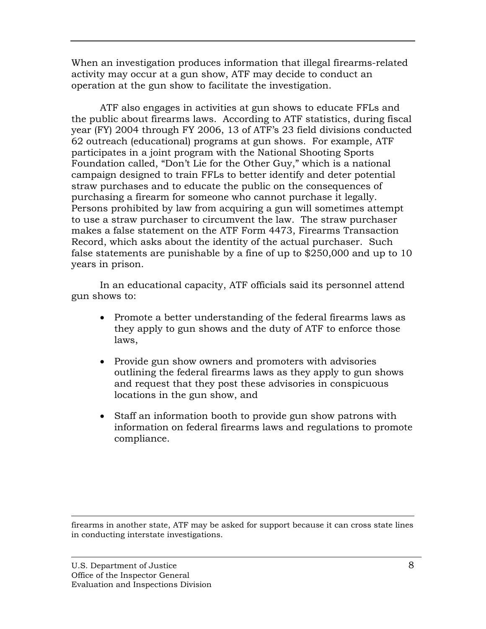When an investigation produces information that illega l firearms-related activity may occur at a gun show, ATF may dec ide to conduct an operation at the gun show to facilitate the investigation.

ATF also engages in activities at gun shows to educate FFLs and the public about firearms laws. According to ATF statistics, during fiscal year (FY) 2004 through FY 2006, 13 of ATF's 23 field divisions conducted 62 outreach (educational) programs at gun shows. For example, ATF participates in a joint program with the National Shooting Sports Foundation called, "Don't Lie for the Other Guy," which is a national campaign designed to train FFLs to better identify and deter potential straw purchases and to educate the public on the consequences of purchasing a firearm for someone who cannot purchase it legally. Persons prohibited by law from acquiring a gun will sometimes attempt to use a straw purchaser to circumvent the law. The straw purchaser makes a false statement on the ATF Form 4473, Firearms Transaction Record, which asks about the identity of the actual purchaser. Such false statements are punishable by a fine of up to  $$250,000$  and up to  $10$ years in prison.

In an educational capacity, ATF officials said its personnel attend gun shows to:

- Promote a better understanding of the federal firearms laws as they apply to gun shows and the duty of ATF to enforce those laws,
- Provide gun show owners and promoters with advisories outlining the federal firearms laws as they apply to gun shows locations in the gun show, and and request that they post these advisories in conspicuous
- Staff an information booth to provide gun show patrons with information on federal firearms laws and regulations to promote compliance.

 $\overline{a}$ firearms in another state, ATF may be asked for support because it can cross state lines in conducting interstate investigations.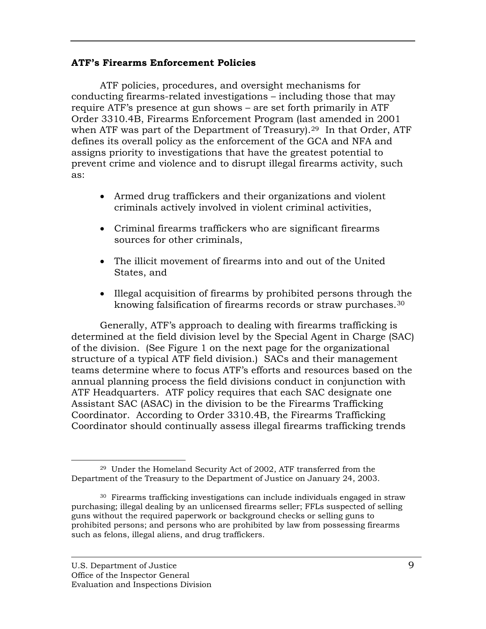## **ATF's Firearms Enforcement Policies**

ATF policies, procedures, and oversight mechanisms for conducting firearms-related investigations – including those that may require ATF's presence at gun shows – are set forth primarily in ATF Order 3310.4B, Firearms Enforcement Program (last amended in 2001 when ATF was part of the Department of Treasury). $29$  In that Order, ATF defines its overall policy as the enforcement of the GCA and NFA and assigns priority to investigations that have the greatest potential to prevent crime and violence and to disrupt illegal firearms activity, such as:

- Armed drug traffickers and their organizations and violent criminals actively involved in violent criminal activities,
- Criminal firearms traffickers who are significant firearms sources for other criminals,
- The illicit movement of firearms into and out of the United States, and
- Illegal acquisition of firearms by prohibited persons through the knowing falsification of firearms records or straw purchases. $^{\rm 30}$

Generally, ATF's approach to dealing with firearms trafficking is determined at the field division level by the Special Agent in Charge (SAC) of the division. (See Figure 1 on the next page for the organizational structure of a typical ATF field division.) SACs and their management teams determine where to focus ATF's efforts and resources based on the annual planning process the field divisions conduct in conjunction with ATF Headquarters. ATF policy requires that each SAC designate one Assistant SAC (ASAC) in the division to be the Firearms Trafficking Coordinator. According to Order 3310.4B, the Firearms Trafficking Coordinator should continually assess illegal firearms trafficking trends

<span id="page-21-0"></span> $\overline{a}$ 29 Under the Homeland Security Act of 2002, ATF transferred from the Department of the Treasury to the Department of Justice on January 24, 2003.

<sup>30</sup> Firearms trafficking investigations can include individuals engaged in straw purchasing; illegal dealing by an unlicensed firearms seller; FFLs suspected of selling guns without the required paperwork or background checks or selling guns to prohibited persons; and persons who are prohibited by law from possessing firearms such as felons, illegal aliens, and drug traffickers.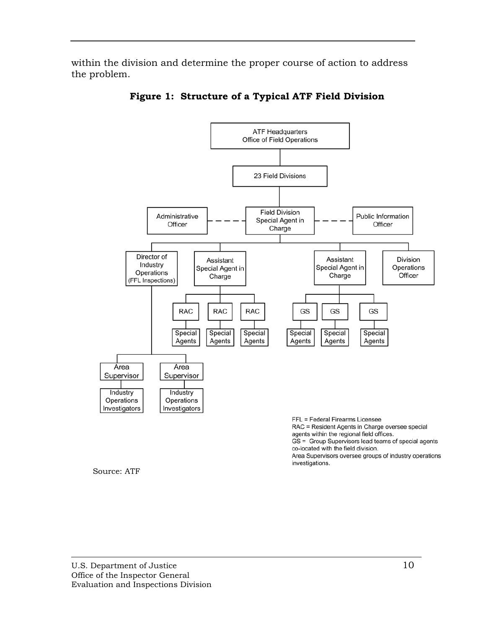within the division and determine the proper course of action to address the problem.



**Figure 1: Structure of a Typical ATF Field Division** 

agents within the regional field offices. GS = Group Supervisors lead teams of special agents

co-located with the field division.

Area Supervisors oversee groups of industry operations investigations.

Source: ATF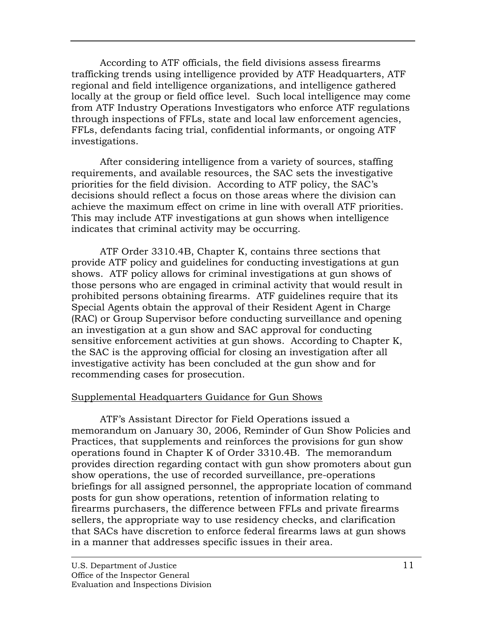According to ATF officials, the field divisions assess fire arms trafficking trends using intelligence provided by ATF Headq uarters, ATF regional and field intelligence organizations, and intelligence g athered locally at the group or field office level. Such local intelligence may come from ATF Industry Operations Investigators who enforce AT F regulations through inspections of FFLs, state and local law enforceme nt agencies, FFLs, defendants facing trial, confidential informants, or ongoing ATF inv estigations.

After considering intelligence from a variety of sources, staffing requirements, and available resources, the SAC sets the investigative priorities for the field division. According to ATF policy, the SAC's decisions should reflect a focus on those areas where the division can achieve the maximum effect on crime in line with overall ATF priorities. This may include ATF investigations at gun shows when intelligence indicates that criminal activity may be occurring.

ATF Order 3310.4B, Chapter K, contains three sections that provide ATF policy and guidelines for conducting investigations at gun shows. ATF policy allows for criminal investigations at gun shows of those persons who are engaged in criminal activity that would result in prohibited persons obtaining firearms. ATF guidelines require that its Special Agents obtain the approval of their Resident Agent in Charge (RAC) or Group Supervisor before conducting surveillance and opening an investigation at a gun show and SAC approval for conducting sensitive enforcement activities at gun shows. According to Chapter K, the SAC is the approving official for closing an investigation after all investigative activity has been concluded at the gun show and for recommending cases for prosecution.

# Supplemental Headquarters Guidance for Gun Shows

ATF's Assistant Director for Field Operations issued a memorandum on January 30, 2006, Reminder of Gun Show Policies and Practices, that supplements and reinforces the provisions for gun show operations found in Chapter K of Order 3310.4B. The memo randum provides direction regarding contact with gun sh ow promoters about gun show operations, the use of recorded surveillance, pre-operations briefings for all assigned personnel, the appropriate location of command posts for gun show operations, retention of information relating to firearms purchasers, the difference between FFLs and private firearms sellers, the appropriate way to use residency checks, and clarification that SACs have discretion to enforce federal firearms laws at gun shows in a manner that addresses specific issues in their area.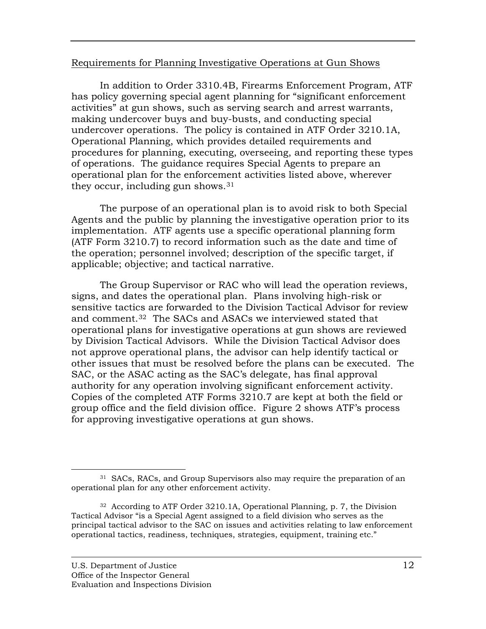## Requirements for Planning Investigative Operations at Gun Shows

In addition to Order 3310.4B, Firearms Enforcement Program, ATF has policy governing special agent planning for "significant enforcement activities" at gun shows, such as serving search and arrest warrants, making undercover buys and buy-busts, and conducting special undercover operations. The policy is contained in ATF Order 3210.1A, Operational Planning, which provides detailed requirements and procedures for planning, executing, overseeing, and reporting these types of operations. The guidance requires Special Agents to prepare an operational plan for the enforcement activities listed above, wherever they occur, including gun shows.31

The purpose of an operational plan is to avoid risk to both Special Agents and the public by planning the investigative operation prior to its implementation. ATF agents use a specific operational planning form  $(ATF$  Form 3210.7) to record information such as the date and time of the operation; personnel involved; description of the specific target, if applicable; objective; and tactical narrative.

The Group Supervisor or RAC who will lead the operation reviews, signs, and dates the operational plan. Plans involving high-risk or sensitive tactics are forwarded to the Division Tactical Advisor for review and comment.<sup>[32](#page-24-0)</sup> The SACs and ASACs we interviewed stated that operational plans for investigative operations at gun shows are reviewed by Division Tactical Advisors. While the Division Tactical Advisor does not approve operational plans, the advisor can help identify tactical or other issues that must be resolved before the plans can be executed. The SAC, or the ASAC acting as the SAC's delegate, has final approval authority for any operation involving significant enforcement activity. Copies of the completed ATF Forms 3210.7 are kept at both the field or group office and the field division office. Figure 2 shows ATF's process for approving investigative operations at gun shows.

 $\overline{a}$ <sup>31</sup> SACs, RACs, and Group Supervisors also may require the preparation of an operational plan for any other enforcement activity.

<span id="page-24-0"></span><sup>32</sup> According to ATF Order 3210.1A, Operational Planning, p. 7, the Division Tactical Advisor "is a Special Agent assigned to a field division who serves as the principal tactical advisor to the SAC on issues and activities relating to law enforcement operational tactics, readiness, techniques, strategies, equipment, training etc."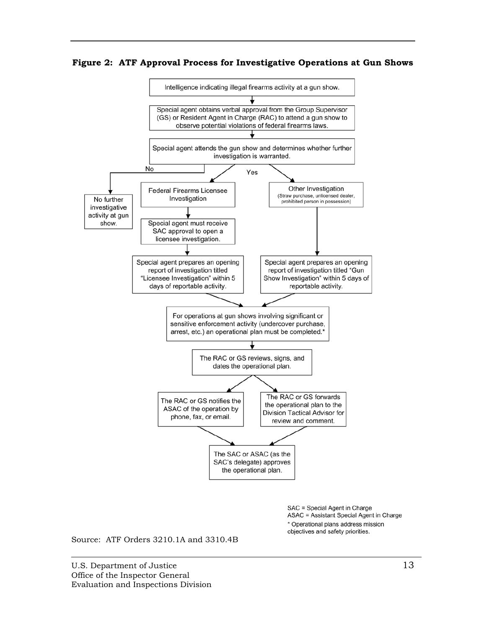Figure 2: ATF Approval Process for Investigative Operations at Gun Shows



\* Operational plans address mission objectives and safety priorities.

Source: ATF Orders 3210.1A and 3310.4B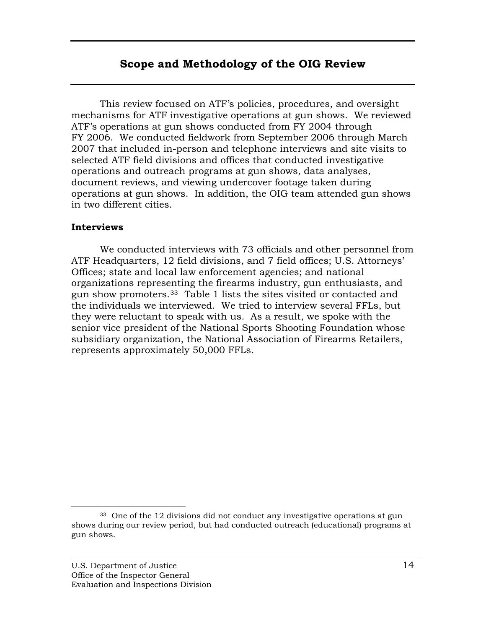# **Scope and Methodology of the OIG Review**

<span id="page-26-0"></span> This review focused on ATF's policies, procedures, and o versight mechanisms for ATF investigative operations at gun shows. We reviewed ATF's operations at gun shows conducted from FY 2004 thro ugh FY 2006. We conducted fieldwork from September 2006 through March 2007 that included in-person and telephone interviews and site visits to selected ATF field divisions and offices that conducted investi gative operations and outreach programs at gun shows, data analys es, document reviews, and viewing undercover footage taken during operations at gun shows. In addition, the OIG team attended gun shows in two different cities.

## **Interviews**

 $\overline{a}$ 

We conducted interviews with 73 officials and other personnel from ATF Headquarters, 12 field divisions, and 7 field offices; U.S. Attorneys' Offices; state and local law enforcement agencies; and national organizations representing the firearms industry, gun enthusiasts, and gun show promoters.<sup>[33](#page-26-1)</sup> Table 1 lists the sites visited or contacted and the individuals we interviewed. We tried to interview several FFLs, but they were reluctant to speak with us. As a result, we spoke with the senior vice president of the National Sports Shooting Foundation whose subsidiary organization, the National Association of Firearms Retailers, represents approximately 50,000 FFLs.

<span id="page-26-1"></span><sup>33</sup> One of the 12 divisions did not conduct any investigative operations at gun shows during our review period, but had conducted outreach (educational) programs at gun shows.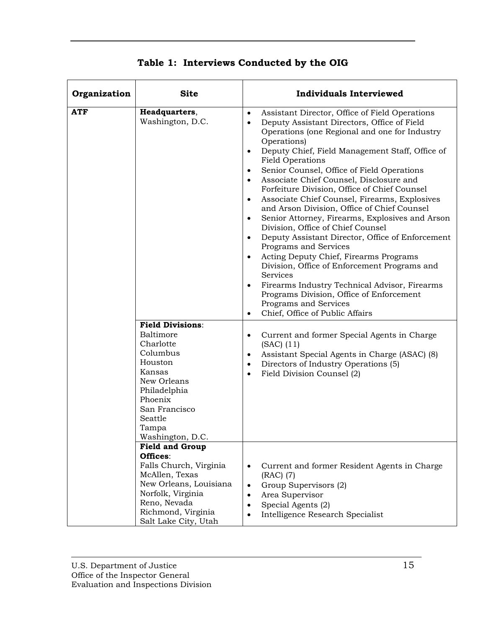| Organization | <b>Site</b>                                                                                                                                                                                                                                                             | <b>Individuals Interviewed</b>                                                                                                                                                                                                                                                                                                                                                                                                                                                                                                                                                                                                                                                                                                                                                                                                                                                                                                                                                                                                                                          |  |  |
|--------------|-------------------------------------------------------------------------------------------------------------------------------------------------------------------------------------------------------------------------------------------------------------------------|-------------------------------------------------------------------------------------------------------------------------------------------------------------------------------------------------------------------------------------------------------------------------------------------------------------------------------------------------------------------------------------------------------------------------------------------------------------------------------------------------------------------------------------------------------------------------------------------------------------------------------------------------------------------------------------------------------------------------------------------------------------------------------------------------------------------------------------------------------------------------------------------------------------------------------------------------------------------------------------------------------------------------------------------------------------------------|--|--|
| <b>ATF</b>   | Headquarters,<br>Washington, D.C.                                                                                                                                                                                                                                       | Assistant Director, Office of Field Operations<br>$\bullet$<br>Deputy Assistant Directors, Office of Field<br>$\bullet$<br>Operations (one Regional and one for Industry<br>Operations)<br>Deputy Chief, Field Management Staff, Office of<br>$\bullet$<br><b>Field Operations</b><br>Senior Counsel, Office of Field Operations<br>$\bullet$<br>Associate Chief Counsel, Disclosure and<br>$\bullet$<br>Forfeiture Division, Office of Chief Counsel<br>Associate Chief Counsel, Firearms, Explosives<br>$\bullet$<br>and Arson Division, Office of Chief Counsel<br>Senior Attorney, Firearms, Explosives and Arson<br>$\bullet$<br>Division, Office of Chief Counsel<br>Deputy Assistant Director, Office of Enforcement<br>$\bullet$<br>Programs and Services<br>Acting Deputy Chief, Firearms Programs<br>$\bullet$<br>Division, Office of Enforcement Programs and<br>Services<br>Firearms Industry Technical Advisor, Firearms<br>$\bullet$<br>Programs Division, Office of Enforcement<br>Programs and Services<br>Chief, Office of Public Affairs<br>$\bullet$ |  |  |
|              | <b>Field Divisions:</b><br>Baltimore<br>Charlotte<br>Columbus<br>Houston<br>Kansas<br>New Orleans<br>Philadelphia<br>Phoenix<br>San Francisco<br>Seattle<br>Tampa<br>Washington, D.C.<br><b>Field and Group</b><br>Offices:<br>Falls Church, Virginia<br>McAllen, Texas | Current and former Special Agents in Charge<br>$\bullet$<br>$(SAC)$ $(11)$<br>Assistant Special Agents in Charge (ASAC) (8)<br>٠<br>Directors of Industry Operations (5)<br>$\bullet$<br>Field Division Counsel (2)<br>$\bullet$<br>Current and former Resident Agents in Charge<br>$\bullet$<br>$(RAC)$ (7)                                                                                                                                                                                                                                                                                                                                                                                                                                                                                                                                                                                                                                                                                                                                                            |  |  |
|              | New Orleans, Louisiana<br>Norfolk, Virginia<br>Reno, Nevada<br>Richmond, Virginia<br>Salt Lake City, Utah                                                                                                                                                               | Group Supervisors (2)<br>$\bullet$<br>Area Supervisor<br>$\bullet$<br>Special Agents (2)<br>$\bullet$<br>Intelligence Research Specialist<br>$\bullet$                                                                                                                                                                                                                                                                                                                                                                                                                                                                                                                                                                                                                                                                                                                                                                                                                                                                                                                  |  |  |

**Table 1: Interviews Conducted by the OIG**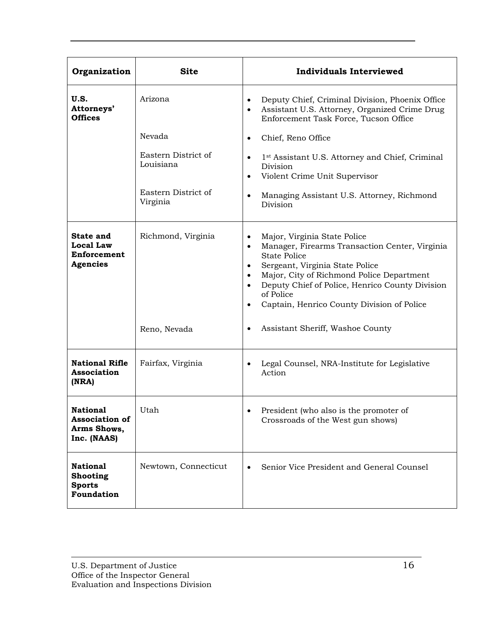| Organization                                                             | <b>Site</b>                      | <b>Individuals Interviewed</b>                                                                                                                                                                                                                                                                                                                          |  |
|--------------------------------------------------------------------------|----------------------------------|---------------------------------------------------------------------------------------------------------------------------------------------------------------------------------------------------------------------------------------------------------------------------------------------------------------------------------------------------------|--|
| U.S.<br>Attorneys'<br><b>Offices</b>                                     | Arizona                          | Deputy Chief, Criminal Division, Phoenix Office<br>$\bullet$<br>Assistant U.S. Attorney, Organized Crime Drug<br>$\bullet$<br>Enforcement Task Force, Tucson Office                                                                                                                                                                                     |  |
|                                                                          | Nevada                           | Chief, Reno Office<br>$\bullet$                                                                                                                                                                                                                                                                                                                         |  |
|                                                                          | Eastern District of<br>Louisiana | 1 <sup>st</sup> Assistant U.S. Attorney and Chief, Criminal<br>$\bullet$<br>Division<br>Violent Crime Unit Supervisor<br>$\bullet$                                                                                                                                                                                                                      |  |
|                                                                          | Eastern District of<br>Virginia  | Managing Assistant U.S. Attorney, Richmond<br>$\bullet$<br>Division                                                                                                                                                                                                                                                                                     |  |
| <b>State and</b><br><b>Local Law</b><br>Enforcement<br><b>Agencies</b>   | Richmond, Virginia               | Major, Virginia State Police<br>$\bullet$<br>Manager, Firearms Transaction Center, Virginia<br>$\bullet$<br><b>State Police</b><br>Sergeant, Virginia State Police<br>Major, City of Richmond Police Department<br>$\bullet$<br>Deputy Chief of Police, Henrico County Division<br>of Police<br>Captain, Henrico County Division of Police<br>$\bullet$ |  |
|                                                                          | Reno, Nevada                     | Assistant Sheriff, Washoe County                                                                                                                                                                                                                                                                                                                        |  |
| <b>National Rifle</b><br>Association<br>(NRA)                            | Fairfax, Virginia                | Legal Counsel, NRA-Institute for Legislative<br>Action                                                                                                                                                                                                                                                                                                  |  |
| <b>National</b><br><b>Association of</b><br>Arms Shows,<br>Inc. (NAAS)   | Utah                             | President (who also is the promoter of<br>Crossroads of the West gun shows)                                                                                                                                                                                                                                                                             |  |
| <b>National</b><br><b>Shooting</b><br><b>Sports</b><br><b>Foundation</b> | Newtown, Connecticut             | Senior Vice President and General Counsel                                                                                                                                                                                                                                                                                                               |  |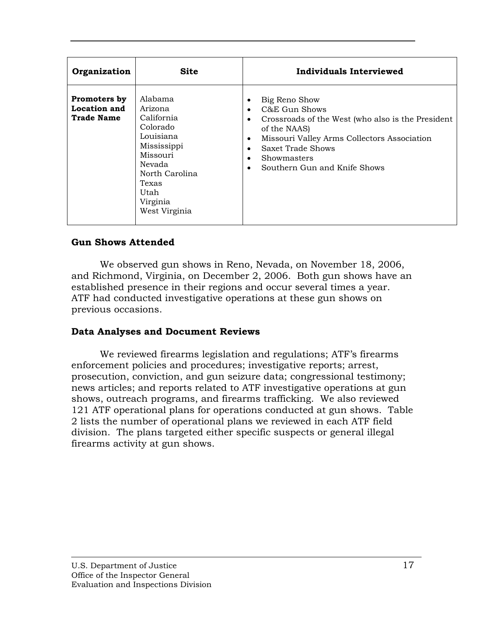| Organization                                      | <b>Site</b>                                                                                                                                                    | Individuals Interviewed                                                                                                                                                                                                |
|---------------------------------------------------|----------------------------------------------------------------------------------------------------------------------------------------------------------------|------------------------------------------------------------------------------------------------------------------------------------------------------------------------------------------------------------------------|
| Promoters by<br>Location and<br><b>Trade Name</b> | Alabama<br>Arizona<br>California<br>Colorado<br>Louisiana<br>Mississippi<br>Missouri<br>Nevada<br>North Carolina<br>Texas<br>Utah<br>Virginia<br>West Virginia | Big Reno Show<br>C&E Gun Shows<br>Crossroads of the West (who also is the President<br>of the NAAS)<br>Missouri Valley Arms Collectors Association<br>Saxet Trade Shows<br>Showmasters<br>Southern Gun and Knife Shows |

# **Gun Shows Attended**

We observed gun shows in Reno, Nevada, on November 18, 2006, and Richmond, Virginia, on December 2, 2006. Both gun shows have an established presence in their regions and occur several times a year. ATF had conducted investigative operations at these gun shows on previous occasions.

# **Data Analyses and Document Reviews**

We reviewed firearms legislation and regulations; ATF's firearms enforcement policies and procedures; investigative reports; arrest, prosecution, conviction, and gun seizure data; congressional testimony; shows, outreach programs, and firearms trafficking. We also reviewed 121 ATF operational plans for operations conducted at gun shows. Table 2 lists the number of operational plans we reviewed in each ATF field division. The plans targeted either specific suspects or general illegal firearms activity at gun shows. news articles; and reports related to ATF investigative operations at gun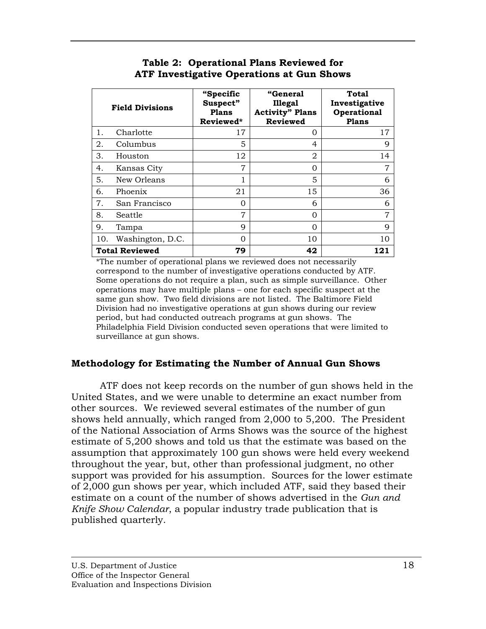# **Table 2: Operational Plans Reviewed for ATF Investigative Operations at Gun Shows**

|     | <b>Field Divisions</b> | "Specific<br>Suspect"<br><b>Plans</b><br>Reviewed* | <b>"General</b><br><b>Illegal</b><br><b>Activity" Plans</b><br><b>Reviewed</b> | <b>Total</b><br>Investigative<br>Operational<br><b>Plans</b> |
|-----|------------------------|----------------------------------------------------|--------------------------------------------------------------------------------|--------------------------------------------------------------|
| 1.  | Charlotte              | 17                                                 | O                                                                              | 17                                                           |
| 2.  | Columbus               | 5                                                  | 4                                                                              | 9                                                            |
| 3.  | Houston                | 12                                                 | $\overline{2}$                                                                 | 14                                                           |
| 4.  | Kansas City            | 7                                                  | 0                                                                              | 7                                                            |
| 5.  | New Orleans            | 1                                                  | 5                                                                              | 6                                                            |
| 6.  | Phoenix                | 21                                                 | 15                                                                             | 36                                                           |
| 7.  | San Francisco          | 0                                                  | 6                                                                              | 6                                                            |
| 8.  | Seattle                | 7                                                  | $\Omega$                                                                       | 7                                                            |
| 9.  | Tampa                  | 9                                                  | 0                                                                              | 9                                                            |
| 10. | Washington, D.C.       | $\Omega$                                           | 10                                                                             | 10                                                           |
|     | <b>Total Reviewed</b>  | 79                                                 | 42                                                                             | 121                                                          |

\*The number of operational plans we reviewed does not necessarily correspond to the number of investigative operations conducted by ATF. Some operations do not require a plan, such as simple surveil lance. Other operations may have multiple plans – one for each specific suspect at the same gun show. Two field divisions are not listed. The Baltimore Field Division had no investigative operations at gun shows during our review period, but had conducted outreach programs at gun shows. The Philadelphia Field Division conducted seven operations that were limited to surveillance at gun shows.

# **Methodology for Estimating the Number of Annual Gun S hows**

 ATF does not keep records on the number of gun shows held in the United States, and we were unable to determine an exact n umber from other sources. We reviewed several estimates of the number o f gun shows held annually, which ranged from 2,000 to 5,200. Th e President of the National Association of Arms Shows was the source o f the highest estimate of 5,200 shows and told us that the estimate w as based on the assumption that approximately 100 gun shows were held every weekend throughout the year, but, other than professional judgment, no other support was provided for his assumption. Sources for the lower estimate of 2,000 gun shows per year, which included ATF, said they based their estimate on a count of the number of shows advertised in the *Gun and Knife Show Calendar*, a popular industry trade publication that is published quarterly.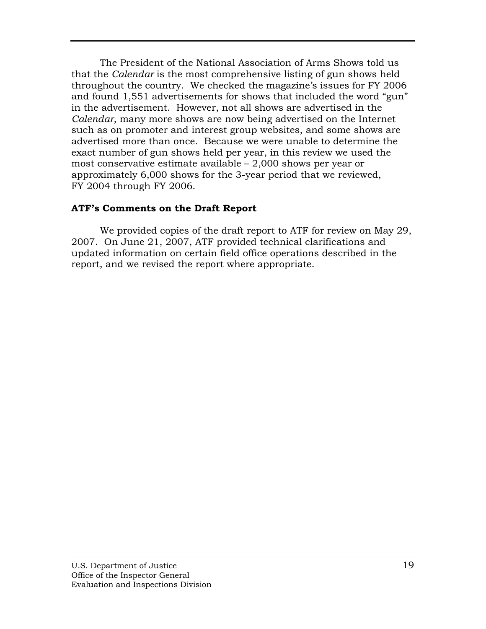The President of the National Association of Arms Sho ws told us that the *Calendar* is the most comprehensive listing of gun sh ows held throughout the country. We checked the magazine's issues f or FY 2006 and found 1,551 advertisements for shows that included th e word "gun" in the advertisement. However, not all shows are advertised in the *Calendar*, many more shows are now being advertised on th e Internet such as on promoter and interest group websites, and som e shows are advertised more than once. Because we were unable to determine the exact number of gun shows held per year, in this review we used the most conservative estim ate available – 2,000 shows per year or approximately 6,000 shows for the 3-year period that we reviewed, FY 2004 through FY 2006.

# **ATF's Comments on the Draft Report**

We provided copies of the draft report to ATF for review on May 29, 2007. On June 21, 2007, ATF provided technical clarifications and updated information on certain field office operations described in the report, and we revised the report where appropriate.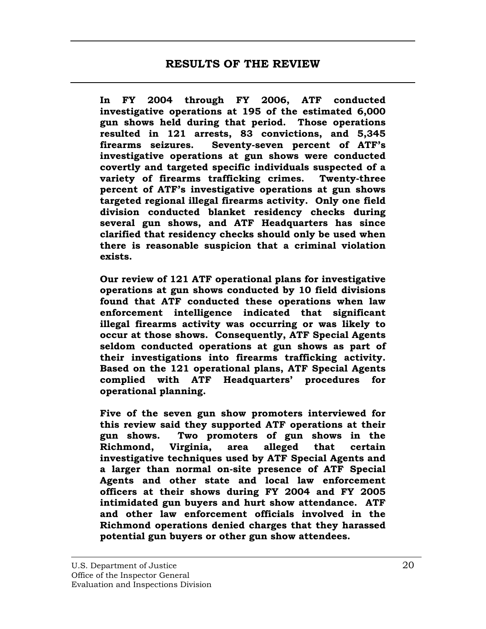<span id="page-32-0"></span>**onducted In FY 2004 through FY 2006, ATF c** investigative operations at 195 of the estimated 6,000 gun shows held during that period. Those operations **d 5,345 resulted in 121 arrests, 83 convictions, an of ATF's firearms seizures. Seventy-seven percent**  investigative operations at gun shows were conducted covertly and targeted specific individuals suspected of a variety of firearms trafficking crimes. Twenty-three percent of ATF's investigative operations at gun shows targeted regional illegal firearms activity. Only one field division conducted blanket residency checks during several gun shows, and ATF Headquarters has since **sed when clarified that residency checks should only be u** there is reasonable suspicion that a criminal violation **exists.** 

Our review of 121 ATF operational plans for investigative operations at gun shows conducted by 10 field divisions found that ATF conducted these operations when law enforcement intelligence indicated that significant illegal firearms activity was occurring or was likely to **occur at those shows. Consequently, ATF Special Agents seldom conducted operations at gun shows as part of activity. their investigations into firearms trafficking**  Based on the 121 operational plans, ATF Special Agents **es for complied with ATF Headquarters' procedur operational planning.** 

Five of the seven gun show promoters interviewed for this review said they supported ATF operations at their gun shows. Two promoters of gun shows in the **certain gents and investigative techniques used by ATF Special A a larger than normal on-site presence of ATF Special Agents and other state and local law enforcement officers at their shows during FY 2004 and FY 2005 intimidated gun buyers and hurt show attendance. ATF and other law enforcement officials involved in the Richmond operations denied charges that they harassed potential gun buyers or other gun show attendees. Richmond, Virginia, area alleged that**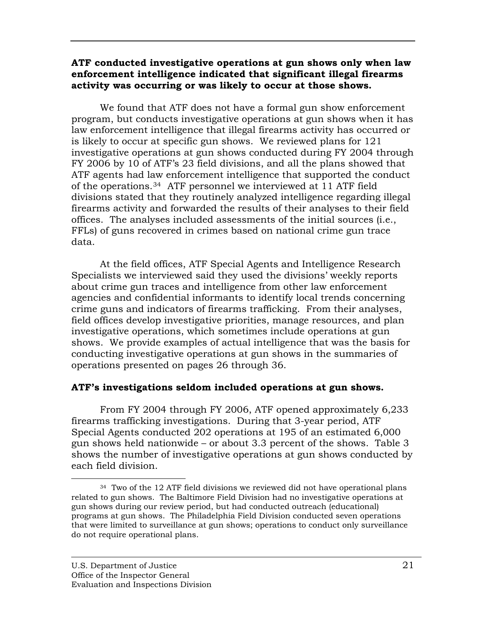## <span id="page-33-0"></span>ATF conducted investigative operations at gun shows only when law **enforcement intelligence indicated that significant illegal firearms activity was occurring or was likely to occur at those shows.**

We found that ATF does not have a formal gun show enforcement program, but conducts investigative operations at gun shows when it has law enforcement intelligence that illegal firearms activity has occurred or is likely to occur at specific gun shows. We reviewed plans for  $121$ investigative operations at gun shows conducted during FY 2004 through FY 2006 by 10 of ATF's 23 field divisions, and all the plans showed that ATF agents had law enforcement intelligence that supported the conduct divisions stated that they routinely analyzed intelligence regarding illegal firearms activity and forwarded the results of their analyses to their field offices. The analyses included assessments of the initial sources (i.e., of the operations.[34](#page-33-1) ATF personnel we interviewed at 11 ATF field FFLs) of guns recovered in crimes based on national crime gun trace data.

At the field offices, ATF Special Agents and Intelligence Research Specialists we interviewed said they used the divisions' weekly reports about crime gun traces and intelligence from other law enforcement agencies and confidential informants to identify local trends concerning crime guns and indicators of firearms trafficking. From their analyses, investigative operations, which sometimes include operations at gun shows. We provide examples of actual intelligence that was the basis for conducting investigative operations at gun shows in the summaries of field offices develop investigative priorities, manage resources, and plan operations presented on pages 26 through 36.

# ATF's investigations seldom included operations at gun shows.

From FY 2004 through FY 2006, ATF opened approximately 6,233 firearms trafficking investigations. During that 3-year period, ATF Special Agents conducted 202 operations at 195 of an estimated 6,000 gun shows held nationwide – or about 3.3 percent of the shows. Table 3 shows the number of investigative operations at gun shows conducted by each field division.

<u>.</u>

<span id="page-33-1"></span><sup>&</sup>lt;sup>34</sup> Two of the 12 ATF field divisions we reviewed did not have operational plans related to gun shows. The Baltimore Field Division had no investigative operations at gun shows during our review period, but had conducted outreach (educational) programs at gun shows. The Philadelphia Field Division conducted seven operations that were limited to surveillance at gun shows; operations to conduct only surveillance do not require operational plans.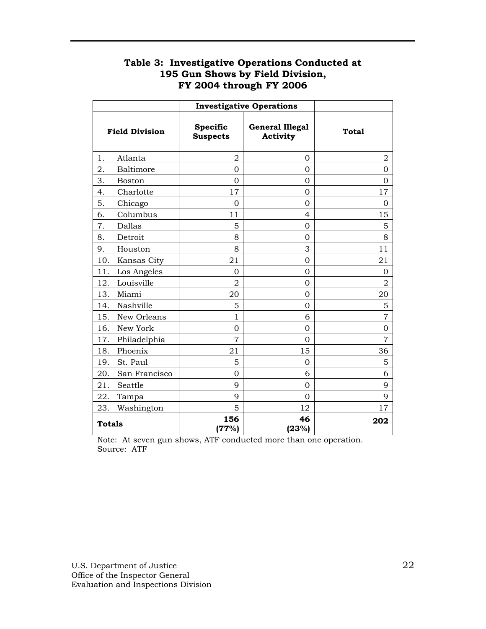# **Table 3: Investigative Operations Conducted at 195 Gun Shows by Field Division, FY 2004 through FY 2006**

|                       |               | <b>Investigative Operations</b>    |                                    |                |
|-----------------------|---------------|------------------------------------|------------------------------------|----------------|
| <b>Field Division</b> |               | <b>Specific</b><br><b>Suspects</b> | <b>General Illegal</b><br>Activity | <b>Total</b>   |
| 1.                    | Atlanta       | 2                                  | 0                                  | $\overline{2}$ |
| 2.                    | Baltimore     | $\overline{0}$                     | $\overline{0}$                     | $\overline{0}$ |
| 3.                    | Boston        | 0                                  | 0                                  | 0              |
| 4.                    | Charlotte     | 17                                 | $\Omega$                           | 17             |
| 5.                    | Chicago       | $\Omega$                           | $\Omega$                           | $\Omega$       |
| 6.                    | Columbus      | 11                                 | $\overline{4}$                     | 15             |
| 7.                    | Dallas        | 5                                  | $\Omega$                           | 5              |
| 8.                    | Detroit       | 8                                  | $\overline{0}$                     | 8              |
| 9.                    | Houston       | 8                                  | 3                                  | 11             |
| 10.                   | Kansas City   | 21                                 | $\overline{0}$                     | 21             |
| 11.                   | Los Angeles   | $\Omega$                           | $\mathbf 0$                        | $\mathbf 0$    |
| 12.                   | Louisville    | $\overline{2}$                     | 0                                  | $\overline{2}$ |
| 13.                   | Miami         | 20                                 | $\overline{0}$                     | 20             |
| 14.                   | Nashville     | 5                                  | $\Omega$                           | 5              |
| 15.                   | New Orleans   | $\mathbf{1}$                       | 6                                  | $\overline{7}$ |
| 16.                   | New York      | 0                                  | $\Omega$                           | 0              |
| 17.                   | Philadelphia  | $\overline{7}$                     | $\Omega$                           | $\overline{7}$ |
| 18.                   | Phoenix       | 21                                 | 15                                 | 36             |
| 19.                   | St. Paul      | 5                                  | $\mathbf 0$                        | 5              |
| 20.                   | San Francisco | 0                                  | 6                                  | 6              |
| 21.                   | Seattle       | 9                                  | $\overline{0}$                     | 9              |
| 22.                   | Tampa         | 9                                  | $\Omega$                           | 9              |
| 23.                   | Washington    | 5                                  | 12                                 | 17             |
| <b>Totals</b>         |               | 156<br>(77%)                       | 46<br>(23%)                        | 202            |

Note: At seven gun shows, ATF conducted more than one operation. Source: ATF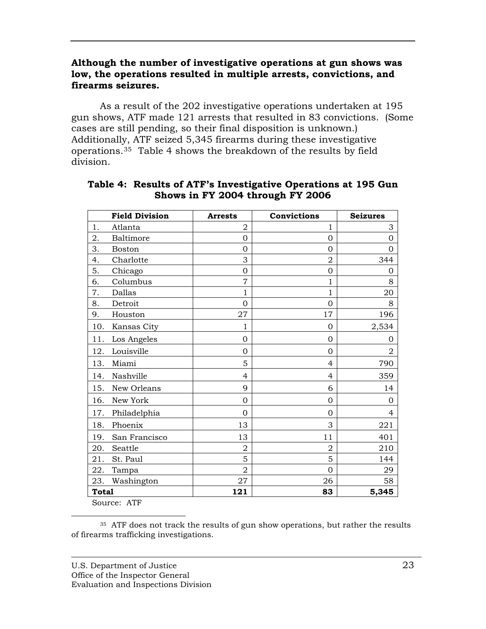# <span id="page-35-0"></span>**Although the number of investigative operations at gun shows was**  low, the operations resulted in multiple arrests, convictions, and **fire arms seizures.**

As a result of the 202 investigative operations undertaken at 195 gun shows, ATF made 121 arrests that resulted in 83 convictions. (Some cases are still pending, so their final disposition is unknown.) Additionally, ATF seized 5,345 firearms during these investigative operations.35 Table 4 shows the breakdown of the results by field d ivision.

|              | <b>Field Division</b> | <b>Arrests</b> | Convictions    | <b>Seizures</b> |
|--------------|-----------------------|----------------|----------------|-----------------|
| 1.           | Atlanta               | $\overline{2}$ | 1              | 3               |
| 2.           | Baltimore             | $\mathbf 0$    | 0              | $\Omega$        |
| 3.           | <b>Boston</b>         | $\mathbf 0$    | 0              | $\Omega$        |
| 4.           | Charlotte             | 3              | $\overline{2}$ | 344             |
| 5.           | Chicago               | $\overline{0}$ | $\overline{0}$ | 0               |
| 6.           | Columbus              | $\overline{7}$ | 1              | 8               |
| 7.           | Dallas                | $\mathbf{1}$   | $\overline{1}$ | 20              |
| 8.           | Detroit               | $\overline{0}$ | 0              | 8               |
| 9.           | Houston               | 27             | 17             | 196             |
| 10.          | Kansas City           | 1              | 0              | 2,534           |
| 11.          | Los Angeles           | 0              | 0              | 0               |
| 12.          | Louisville            | $\Omega$       | $\Omega$       | $\overline{2}$  |
| 13.          | Miami                 | 5              | $\overline{4}$ | 790             |
| 14.          | Nashville             | $\overline{4}$ | $\overline{4}$ | 359             |
| 15.          | New Orleans           | 9              | 6              | 14              |
| 16.          | New York              | 0              | 0              | $\Omega$        |
| 17.          | Philadelphia          | $\Omega$       | $\Omega$       | 4               |
| 18.          | Phoenix               | 13             | 3              | 221             |
| 19.          | San Francisco         | 13             | 11             | 401             |
| 20.          | Seattle               | $\overline{2}$ | $\overline{2}$ | 210             |
| 21.          | St. Paul              | 5              | 5              | 144             |
| 22.          | Tampa                 | $\overline{2}$ | $\overline{0}$ | 29              |
| 23.          | Washington            | 27             | 26             | 58              |
| <b>Total</b> |                       | 121            | 83             | 5,345           |

## **Table 4: Results of ATF's Investigative Operations at 195 Gun Shows in FY 2004 through FY 2006**

Source: ATF

 $\overline{a}$ <sup>35</sup> ATF does not track the results of gun show operations, but rather the results of firearms trafficking investigations.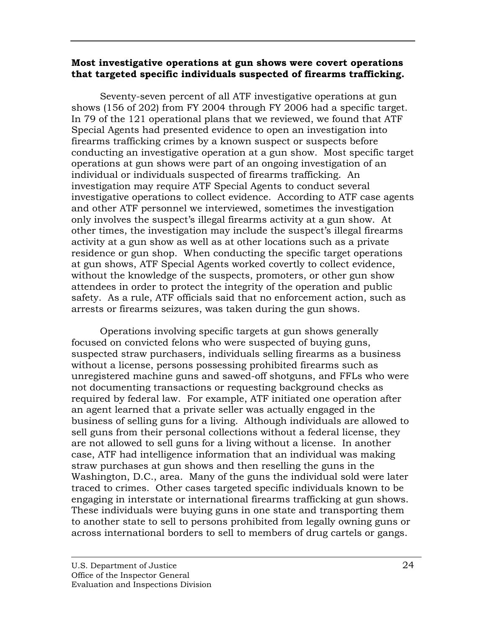## <span id="page-36-0"></span>**Most investigative operations at gun shows were covert operations that targeted specific individuals suspected of firearms trafficking.**

Seventy-seven percent of all ATF investigative operations at gun shows (156 of 202) from FY 2004 through FY 2006 had a specific target. In 79 of the  $121$  operational plans that we reviewed, we found that ATF Special Agents had presented evidence to open an investigation into firearms trafficking crimes by a known suspect or suspects before conducting an investigative operation at a gun show. Most specific target operations at gun shows were part of an ongoing investigation of an investigation may require ATF Special Agents to conduct several investigative operations to collect evidence. According to ATF case agents and other ATF personnel we interviewed, sometimes the investigation only involves the suspect's illegal firearms activity at a gun show. At other times, the investigation may include the suspect's illegal firearms activity at a gun show as well as at other locations such as a private residence or gun shop. When conducting the specific target operations at gun shows, ATF Special Agents worked covertly to collect evidence, without the knowledge of the suspects, promoters, or other gun show attendees in order to protect the integrity of the operation and public safety. As a rule, ATF officials said that no enforcement action, such as arrests or firearms seizures, was taken during the gun shows. individual or individuals suspected of firearms trafficking. An

Operations involving specific targets at gun shows generally focused on convicted felons who were suspected of buying guns, suspected straw purchasers, individuals selling firearms as a business without a license, persons possessing prohibited firearms such as unregistered machine guns and sawed-off shotguns, and FFLs who were not documenting transactions or requesting background checks as required by federal law. For example, ATF initiated one operation after an agent learned that a private seller was actually engaged in the business of selling guns for a living. Although individuals are allowed to sell guns from their personal collections without a federal license, they are not allowed to sell guns for a living without a license. In another case, ATF had intelligence information that an individual was making straw purchases at gun shows and then reselling the guns in the Washington, D.C., area. Many of the guns the individual sold were later traced to crimes. Other cases targeted specific individuals known to be engaging in interstate or international firearms trafficking at gun shows. These individuals were buying guns in one state and transporting them to another state to sell to persons prohibited from legally owning guns or across international borders to sell to members of drug cartels or gangs.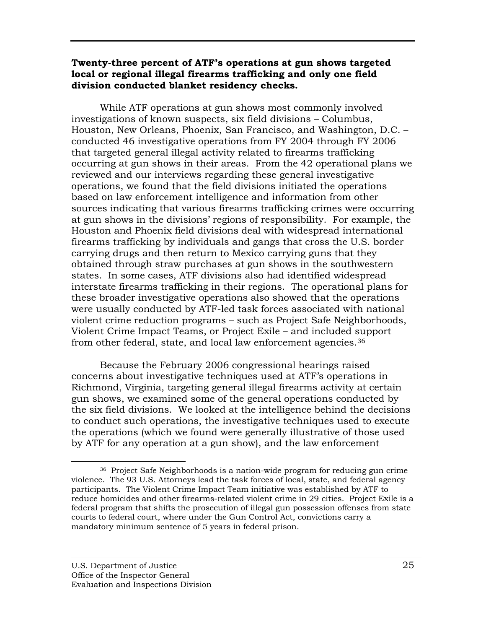## <span id="page-37-0"></span>Twenty-three percent of ATF's operations at gun shows targeted **local or regional illegal firearms traffick ing and only one field division conducted blanket residency checks.**

While ATF operations at gun shows most commonly involved investigations of known suspects, six field divisions - Columbus, Houston, New Orleans, Phoenix, San Francisco, and Washington, D.C. conducted 46 investigative operations from FY 2004 through FY 2006 that targeted general illegal activity related to firearms trafficking occurring at gun shows in their areas. From the 42 operational plans we reviewed and our interviews regarding these general investigative operations, we found that the field divisions initiated the operations based on law enforcement intelligence and information from other sources indicating that various firearms trafficking crimes were occurring at gun shows in the divisions' regions of responsibility. For example, the Houston and Phoenix field divisions deal with widespread international firearms trafficking by individuals and gangs that cross the U.S. border carrying drugs and then return to Mexico carrying guns that they obtained through straw purchases at gun shows in the southwestern states. In some cases, ATF divisions also had identified widespread interstate firearms trafficking in their regions. The operational plans for these broader investigative operations also showed that the operations were usually conducted by ATF-led task forces associated with national violent crime reduction programs – such as Project Safe Neighborhoods, Violent Crime Impact Teams, or Project Exile – and included support from other federal, state, and local law enforcement agencies.<sup>36</sup>

Because the February 2006 congressional hearings raised concerns about investigative techniques used at ATF's operations in gun shows, we examined some of the general operations conducted by the six field divisions. We looked at the intelligence behind the decisions to conduct such operations, the investigative techniques used to execute the operations (which we found were generally illustrative of those used by ATF for any operation at a gun show), and the law enforcement Richmond, Virginia, targeting general illegal firearms activity at certain

<u>.</u>

<sup>36</sup> Project Safe Neighborhoods is a nation-wide program for reducing gun crime violence. The 93 U.S. Attorneys lead the task forces of local, state, and federal agency participants. The Violent Crime Impact Team initiative was established by ATF to reduce homicides and other firearms-related violent crime in 29 cities. Project Exile is a federal program that shifts the prosecution of illegal gun possession offenses from state courts to federal court, where under the Gun Control Act, convictions carry a mandatory minimum sentence of 5 years in federal prison.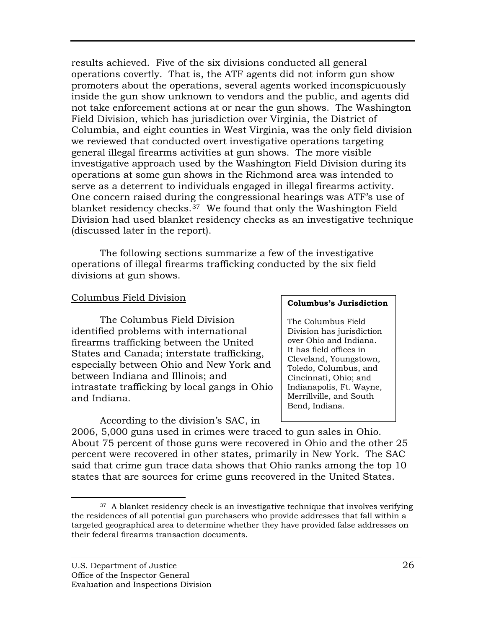<span id="page-38-0"></span>results achieved. Five of the six divisions conducted all general operations covertly. That is, the ATF agents did not inform gun show promoters about the operations, several agents worked inconspicuously inside the gun show unknown to vendors and the public, and agents did not take enforcement actions at or near the gun shows. The Washington Field Division, which has jurisdiction over Virginia, the District of Columbia, and eight counties in West Virginia, was the only field division we reviewed that conducted overt investigative operations targeting general illegal firearms activities at gun shows. The more visible investigative approach used by the Washington Field Division during its operations at some gun shows in the Richmond area was intended to serve as a deterrent to individuals engaged in illegal firearms activity. One concern raised during the congressional hearings was ATF's use of blanket residency checks.37 We found that only the Washington Field Division had used blanket residency checks as an investigative technique (discussed later in the report).

The following sections summarize a few of the investigative operations of illegal firearms trafficking conducted by the six field div isions at gun shows.

## Columbus Field Division

 The Columbus Field Division identified problems with internation al firearms t rafficking between the Unite d States and Canada; interstate trafficking, especially between Ohio and New York and between Indiana and Illinois; and intrastate trafficking by local gangs in Ohio and Indiana.

According to the division's SAC, in

#### **Columbus' s Jurisdiction**

The Colum bus Field Division has jurisdiction over Ohio and Indiana. It h as field offices in Cleveland, Youngstown, Toledo, Columbus, and Cincinnati, Ohio; and Indianapolis, Ft. Wayne, Merrillville, and South Bend, Indiana.

2006, 5,000 guns used in crimes were traced to gun sales in Ohio. About 75 percent of those guns were recovered in Ohio and the other 25 percent were recovered in other states, primarily in New York. The SAC said that crime gun trace data shows that Ohio ranks among the top 10 states that are sources for crime guns recovered in the United States.

 $\overline{a}$ 

 $37$  A blanket residency check is an investigative technique that involves verifying the residences of all potential gun purchasers who provide addresses that fall within a targeted geographical area to determine whether they have provided false addresses on their federal firearms transaction documents.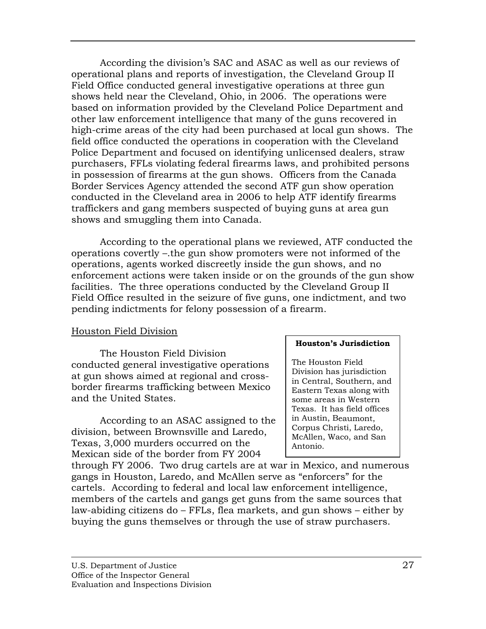<span id="page-39-0"></span>According the division's SAC and ASAC as well as our reviews of operational plans and reports of investigation, the Cleveland Group II Field Office conducted general investigative operations at three gun shows held near the Cleveland, Ohio, in 2006. The operations were based on information provided by the Cleveland Police Department and other law enforcement intelligence that many of the guns recovered in high-crime areas of the city had been purchased at local gun shows. The field office conducted the operations in cooperation with the Cleveland Police Department and focused on identifying unlicensed dealers, straw purchasers, FFLs violating federal firearms laws, and prohibited persons in possession of firearms at the gun shows. Officers from the Canada conducted in the Cleveland area in 2006 to help ATF identify firearms traffickers and gang members suspected of buying guns at area gun Border Services Agency attended the second ATF gun show operation shows and smuggling them into Canada.

pending indictments for felony possession of a firearm. According to the operational plans we reviewed, ATF conducted the operations covertly –.the gun show promoters were not informed of the operations, agents worked discreetly inside the gun shows, and no enforcement actions were taken inside or on the grounds of the gun show facilities. The three operations conducted by the Cleveland Group II Field Office resulted in the seizure of five guns, one indictment, and two

## Houston Field Division

 The Houston Field Division conducted general investigative operations at gun shows aimed at regional and crossborder firearms trafficking between Mexico and the United States.

 According to an ASAC assigned to the division, between Brownsville and Laredo, Texas, 3,000 murders occurred on the Mexican side of the border from FY 2004

#### **Houston 's Jurisdiction**

The Housto n Field Division ha s jurisdiction in Central, South ern, and Eastern Texas along with some areas in Western Texas. It has field offices in Austin, Beaumont, Corpus Christi, Laredo, McAllen, Waco, and San Antonio.

through FY 2006. Two drug cartels are at war in Mexico, and numerous gangs in Houston, Laredo, and McAllen serve as "enforcers" for the cartels. According to federal and local law enforcement intelligence, members of the cartels and gangs get guns from the same sources that law-abiding citizens do – FFLs, flea markets, and gun shows – either by buying the guns themselves or through the use of straw purchasers.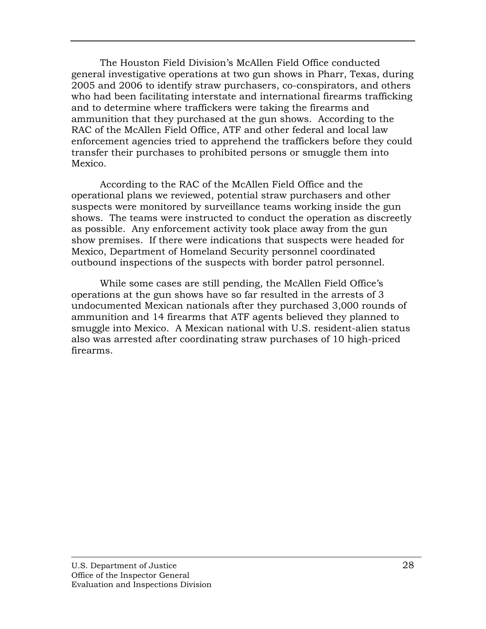The Houston Field Division's McAllen Field Office condu cted general investigative operations at two gun shows in Pharr, Te xas, during 2005 and 2006 to identify straw purchasers, co-conspirators, and others who had been facilitating interstate and international firearms trafficking and to determine where traffickers were taking the firearm s and ammunition that they purchased at the gun shows. Accordin g to the RAC of the McAllen Field Office, ATF and other federal an d local law enfor cement agencies tried to apprehend the traffickers before they could transfer their purchases to prohibited persons or smuggle them into Mexico.

According to the RAC of the McAllen Field Office and the operational plans we reviewed, potential straw purchasers and other suspects were monitored by surveillance teams working inside the gun shows. The teams were instructed to conduct the operation as discreetly as possible. Any enforcement activity took place away from the gun show premises. If there were indications that suspects were headed for Mexico, Department of Homeland Security personnel coordinated outbound inspections of the suspects with border patrol personnel.

While some cases are still pending, the McAllen Field Office's operations at the gun shows have so far resulted in the arrests of 3 undocumented Mexican nationals after they purchased 3,000 rounds of ammunition and 14 firearms that ATF agents believed they planned to smuggle into Mexico. A Mexican national with U.S. resident-alien status also was arrested after coordinating straw purchases of 10 high-priced firearms.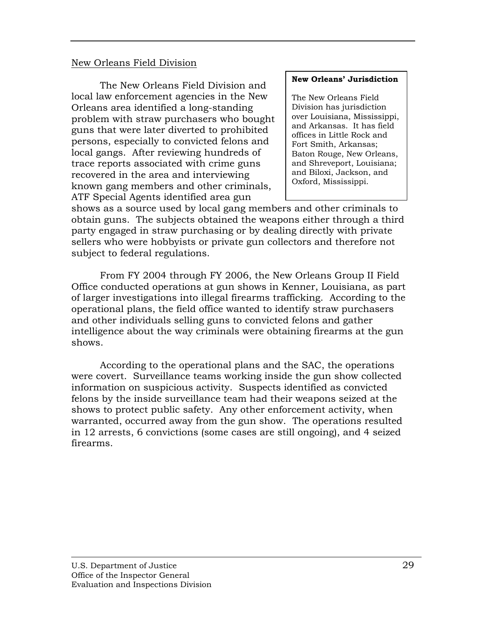## <span id="page-41-0"></span>New Orleans Field Division

The New Orleans Field Division and local law enforcement agencies in the New Orleans area identified a long-standing problem with straw purchasers who bought guns that were later diverted to prohibited persons, especially to convicted felons and local gangs. After reviewing hundreds of trace reports associated with crime guns recovered in the area and interviewing known gang members and other criminals, ATF Special Agents identified area gun

#### **New Orlea ns' Jurisdiction**

The New Orlea ns Field Division has jurisdicti on over Louisia na, Mississippi, and Arkansas. I t has field offices in Little Rock and Fort Smith, Ar kansas; Baton Roug e, New Orleans, and Shreveport, Louisiana; and Biloxi, Jackson, and Oxford, Mississippi.

shows as a source used by local gang members and other criminals to obtain guns. The subjects obtained the weapons either through a third party engaged in straw purchasing or by dealing directly with private sellers who were hobbyists or private gun collectors and therefore not subject to federal regulations.

From FY 2004 through FY 2006, the New Orleans Group II Field Office conducted operations at gun shows in Kenner, Louisiana, as part of larger investigations into illegal firearms trafficking. According to the operational plans, the field office wanted to identify straw purchasers and other individuals selling guns to convicted felons and gather intelligence about the way criminals were obtaining firearms at the gun shows.

According to the operational plans and the SAC, the operations were covert. Surveillance teams working inside the gun show collected felons by the inside surveillance team had their weapons seized at the shows to protect public safety. Any other enforcement activity, when warranted, occurred away from the gun show. The operations resulted in 12 arrests, 6 convictions (some cases are still ongoing), and 4 seized firearms. information on suspicious activity. Suspects identified as convicted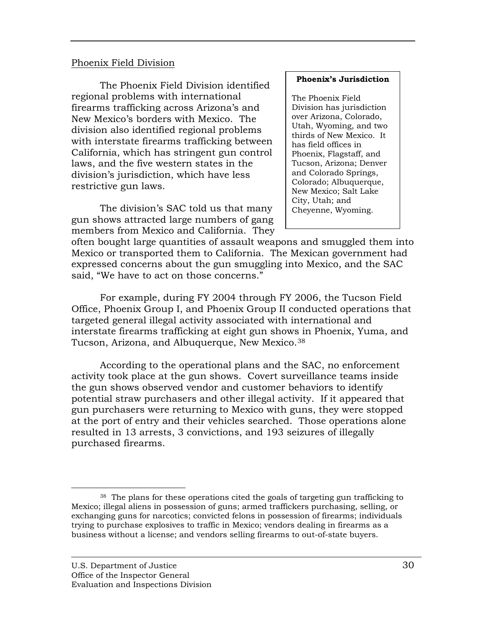#### <span id="page-42-0"></span>Phoenix Field Division

The Phoenix Field Division identified regional problems with international firearms trafficking across Arizona's and New Mexico's borders with Mexico. The division also identified regional problems with interstate firearms trafficking between California, which has stringent gun control laws, and the five western states in the division's jurisdiction, which have less restrictive gun laws.

The division's SAC told us that many gun shows attracted large numbers of gang members from Mexico and California. They

#### **Phoenix's Jurisdiction**

The Phoenix Field Division has jurisdiction over Arizona, Colorado, Utah, Wyoming, and two thirds of New Mexico. It has field offices in Phoenix, Flagstaff, and Tucson, Arizona; Denver Colorado Springs, and Colorado; Albuquerque, New Mexico; Salt Lake Cheyenne, Wyoming. City, Utah; and

often bought large quantities of assault weapons and smuggled them into Mexico or transported them to California. The Mexican government had expressed concerns about the gun smuggling into Mexico, and the SAC said, "We have to act on those concerns."

For example, during FY 2004 through FY 2006, the Tucson Field Office, Phoenix Group I, and Phoenix Group II conducted operations that targeted general illegal activity associated with international and interstate firearms trafficking at eight gun shows in Phoenix, Yuma, and Tucson, Arizona, and Albuquerque, New Mexico.<sup>38</sup>

According to the operational plans and the SAC, no enforcement activity took place at the gun shows. Covert surveillance teams inside potential straw purchasers and other illegal activity. If it appeared that gun purchasers were returning to Mexico with guns, they were stopped at the port of entry and their vehicles searched. Those ope rations alone resulted in 13 arrests, 3 convictions, and 193 seizures of illegally the gun shows observed vendor and customer behaviors to identify purchased firearms.

 $\overline{a}$ 

<sup>38</sup> The plans for these operations cited the goals of targeting gun trafficking to Mexico; illegal aliens in possession of guns; armed traffickers purchasing, selling, or exchanging guns for narcotics; convicted felons in possession of firearms; individuals trying to purchase explosives to traffic in Mexico; vendors dealing in firearms as a business without a license; and vendors selling firearms to out-of-state buyers.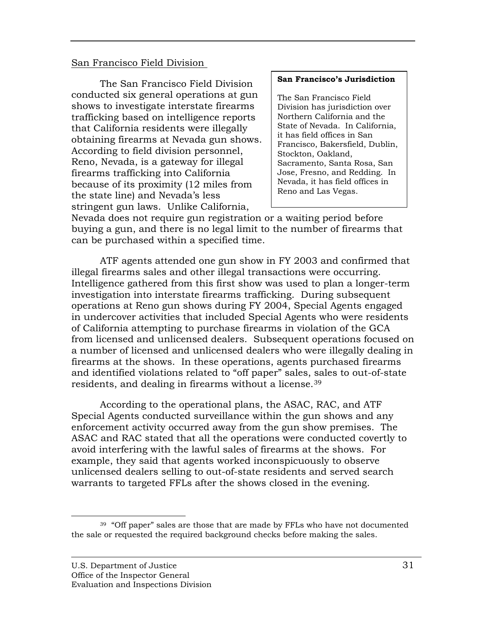#### <span id="page-43-0"></span>San Francisco Field Division

The San Francisco Field Division conducted six general operations at gun shows to investigate interstate firearms that California residents were illegally obtaining firearms at Nevada gun shows. According to field division personnel, Reno, Nevada, is a gateway for illegal firearms trafficking into California stringent gun laws. Unlike California, trafficking based on intelligence rep orts because of its proximity (12 miles from the state line) and Nevada's less

#### **San Francis co's Jurisdiction**

The San Francis co Field Division has juris diction over Northern Ca lifornia and the State of Nevada. In California, it has field offices in San Francisco, Bakers field, Dublin, Stockton, Oaklan d, Sacrame nto, Santa Rosa, San Jose, Fresno, and Redding. In Nevada, it has field offices in Reno and Las Vegas.

Nevada does not require gun registration or a waiting period before buying a gun, and there is no legal limit to the number of firearms that can be purchased within a specified time.

ATF agents attended one gun show in FY 2003 and confirmed that illegal firearms sales and other illegal transactions were occurring. Intelligence gathered from this first show was used to plan a longer-term investigation into interstate firearms trafficking. During subsequent operations at Reno gun shows during FY 2004, Special Agents engaged in undercover activities that included Special Agents who were residents of California attempting to purchase firearms in violation of the GCA from licensed and unlicensed dealers. Subsequent operations focused on firearms at the shows. In these operations, agents purchased firearms and identified violations related to "off paper" sales, sales to out-of-state a number of licensed and unlicensed dealers who were illegally dealing in residents, and dealing in firearms without a license.39

According to the operational plans, the ASAC, RAC, and ATF Special Agents conducted surveillance within the gun shows and any enforcement activity occurred away from the gun show premises. The ASAC and RAC stated that all the operations were conducted covertly to avoid interfering with the lawful sales of firearms at the shows. For example, they said that agents worked inconspicuously to observe unlicensed dealers selling to out-of-state residents and served search warrants to targeted FFLs after the shows closed in the evening.

 $\overline{a}$ <sup>39</sup> "Off paper" sales are those that are made by FFLs who have not documented the sale or requested the required background checks before making the sales.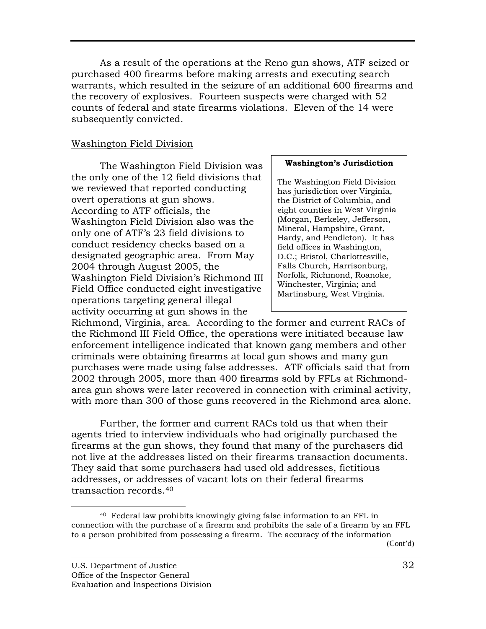<span id="page-44-0"></span> As a result of the operations at the Reno gun shows , ATF seized or purchased 400 firearms before making arrests and executing search warrants, which resulted in the seizure of an additional 60 0 firearms and the recovery of explosives. Fourteen suspects were charge d with 52 counts of federal and state firearms violations. Eleven of the 14 were subsequently convicted.

# Wa shington Field Division

 The Washington Field Div isio n was the only one of the 12 field divisions that we reviewed that reported conducting overt operations at gun shows. According to ATF officials, the Washington Field Division also w as the only one of ATF's 23 field divisions t o conduct residency checks based on a designated geographic area. From M ay 2004 through August 2005, the Washington Field Division's Richmond III Field Office conducted eight investigative operations targeting general illegal activity occurring at gun shows in the

#### **urisdiction Washington's J**

The Washington Field Division has jurisdiction over Virginia, the District of Columbia, and eight counties in West Virginia (Morgan, Berkeley, Jefferson, Mineral, Hampshire, Grant, Hardy, and Pendleton). It has field offices in Washington, D.C.; Bristol, Charlottesville, Falls Church, Harrisonburg, Norfolk, Richmond, Roanoke, Winchester, Virginia; and Martinsburg, West Virginia.

Richmond, Virginia, area. According to the former and curre nt RACs of the Richmond III Field Office, the operations were initiated be cause law enforcement intelligence indicated that known gang members a nd other criminals were obtaining firearms at local gun shows and many gun purchases were made using false addresses. ATF officials said that from 2002 through 2005, more than 400 firearms sold by FFLs at Richmondarea gun shows were later recovered in connection with criminal activity, with more than 300 of those guns recovered in the Richmond area alone.

Further, the former and current RACs told us that when their agents tried to interview individuals who had originally purchased the not live at the addresses listed on their firearms transaction documents. They said that some purchasers had used old addresses, fictitious addresses, or addresses of vacant lots on their federal firearms transaction records.40 firearms at the gun shows, they found that many of the purchasers did

<u>.</u>

<sup>40</sup> Federal law prohibits knowingly giving false information to an FFL in connection with the purchase of a firearm and prohibits the sale of a firearm by an FFL to a person prohibited from possessing a firearm. The accuracy of the information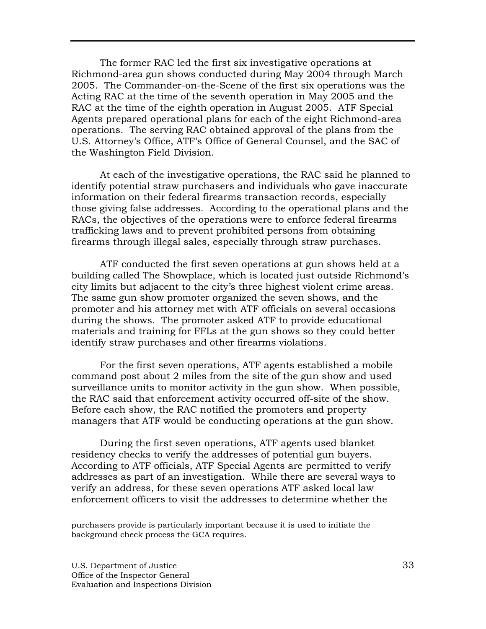The former RAC led the first six investigative operation s at Richmond-area gun shows conducted during May 2004 thro ugh March 2005. The Commander-on-the-Scene of the first six opera tions was the Acting RAC at the time of the seventh operation in May 200 5 and the RAC at the time of the eighth operation in August 2005. AT F Special Agents prepared operational plans for each of the eight Rich mond-area operations. The serving R AC obtained approval of the plans from the U.S. Attorney's Office, ATF's Office of General Counsel, and the SAC of the Washington Field Division.

At each of the investigative operations, the RAC said he planned to identify potential straw purchasers and individuals who gave inaccurate information on their federal firearms transaction records, especially those giving false addresses. According to the operational plans and the RACs, the objectives of the operations were to enforce federal firearms firearms through illegal sales, especially through straw purchases. trafficking laws and to prevent prohibited persons from obtaining

ATF conducted the first seven operations at gun shows held at a building called The Showplace, which is located just outside Richmond's city limits but adjacent to the city's three highest violent crime areas. The same gun show promoter organized the seven shows, and the promoter and his attorney met with ATF officials on several occasions during the shows. The promoter asked ATF to provide educational materials and training for FFLs at the gun shows so they could better identify straw purchases and other firearms violations.

For the first seven operations, ATF agents established a mobile command post about 2 miles from the site of the gun show and used surveillance units to monitor activity in the gun show. When possible, the RAC said that enforcement activity occurred off-site of the show. Before each show, the RAC notified the promoters and property managers that ATF would be conducting operations at the gun show.

 During the first seven operations, ATF agents used blanket residency checks to verify the addresses of potential gun buyers. According to ATF officials, ATF Special Agents are permitted to verify addresses as part of an investigation. While there are several ways to verify an address, for these seven operations ATF asked local law enforcement officers to visit the addresses to determine whether the

purchasers provide is particularly important because it is used to initiate the background check process the GCA requires.

1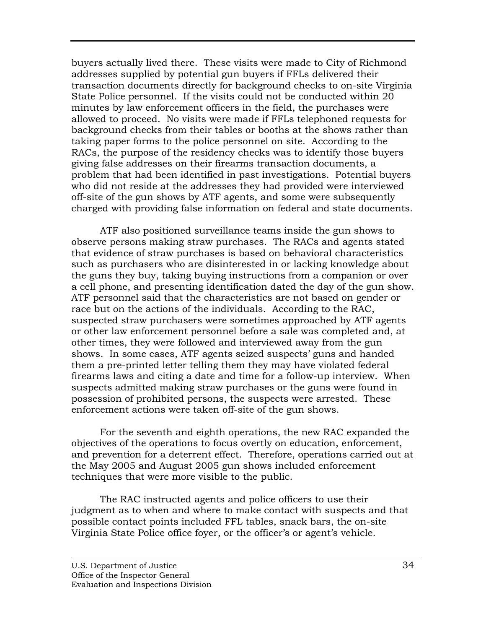buyers actually lived there. These visits were made to C ity of Richmond addresses supplied by potential gun buyers if FFLs delivered t heir transaction documents directly for background checks to o n-site Virginia State Police personnel. If the visits could not be conducted within 20 minutes by law enforcement officers in the field, the purchase s were allowed to proceed. No visits were made if FFLs telephoned r equests for background checks from their tables or booths at the shows rather than taking paper forms to the police personnel on site. Acc ording to the RACs, the purpose of the residency checks was to identify tho se buyers giving false addresses on their firearms transaction documen ts, a problem that had been identified in past investigations. Potent ial buyers who did not reside at the addresses they had provided were interviewed off-site of the gun shows by ATF agents, and some were subsequently charged with providing false information on federal and state documents.

ATF also positioned surveillance teams inside the gun shows to observe persons making straw purchases. The RACs and agents stated that evidence of straw purchases is based on behavioral characteristics such as purchasers who are disinterested in or lacking knowledge about the guns they buy, taking buying instructions from a companion or over a cell phone, and presenting identification dated the day of the gun show. ATF personnel said that the characteristics are not based on gender or race but on the actions of the individuals. According to the RAC, suspected straw purchasers were sometimes approached by ATF agents or other law enforcement personnel before a sale was completed and, at other times, they were followed and interviewed away from the gun shows. In some cases, ATF agents seized suspects' guns and handed them a pre-printed letter telling them they may have violated federal firearms laws and citing a date and time for a follow-up interview. When suspects admitted making straw purchases or the guns were found in possession of prohibited persons, the suspects were arrested. These enforcement actions were taken off-site of the gun shows.

For the seventh and eighth operations, the new RAC expanded the objectives of the operations to focus overtly on education, enforcement, and prevention for a deterrent effect. Therefore, operations carried out at the May 2005 and August 2005 gun shows included enforcement techniques that were more visible to the public.

 The RAC instructed agents and police officers to use their judgment as to when and where to make contact with suspects and that possible contact points included FFL tables, snack bars, the on-site Virginia State Police office foyer, or the officer's or agent's vehicle.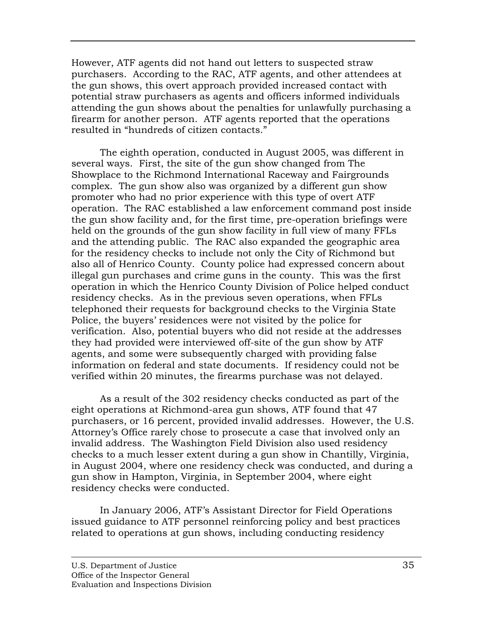However, ATF agents did not hand out letters to suspected s traw purchasers. According to the RAC, ATF agents, and othe r attendees at the gun shows, this overt approach provided increased contac t with potential straw purchasers as agents and officers informed in dividuals attending the gun shows about the penalties for unlawfull y purchasing a firearm for another person. ATF agents reported that the operations res ulted in "hundreds of citizen contacts."

The eighth operation, conducted in August 2005, was different in several ways. First, the site of the gun show changed from The Showplace to the Richmond International Raceway and Fairgrounds complex. The gun show also was organized by a different gun show promoter who had no prior experience with this type of overt ATF operation. The RAC established a law enforcement command post inside the gun show facility and, for the first time, pre-operation briefings were held on the grounds of the gun show facility in full view of many FFLs and the attending public. The RAC also expanded the geographic area for the residency checks to include not only the City of Richmond but also all of Henrico County. County police had expressed concern about illegal gun purchases and crime guns in the county. This was the first operation in which the Henrico County Division of Police helped conduct residency checks. As in the previous seven operations, when FFLs telephoned their requests for background checks to the Virginia State Police, the buyers' residences were not visited by the police for verification. Also, potential buyers who did not reside at the addresses they had provided were interviewed off-site of the gun show by ATF agents, and some were subsequently charged with providing false information on federal and state documents. If residency could not be verified within 20 minutes, the firearms purchase was not delayed.

As a result of the 302 residency checks conducted as part of the eight operations at Richmond-area gun shows, ATF found that 47 purchasers, or 16 percent, provided invalid addresses. However, the U.S. Attorney's Office rarely chose to prosecute a case that involved only an invalid address. The Washington Field Division also used residency checks to a much lesser extent during a gun show in Chantilly, Virginia, in August 2004, where one residency check was conducted, and during a gun show in Hampton, Virginia, in September 2004, where eight residency checks were conducted.

In January 2006, ATF's Assistant Director for Field Operations issued guidance to ATF personnel reinforcing policy and best practices related to operations at gun shows, including conducting residency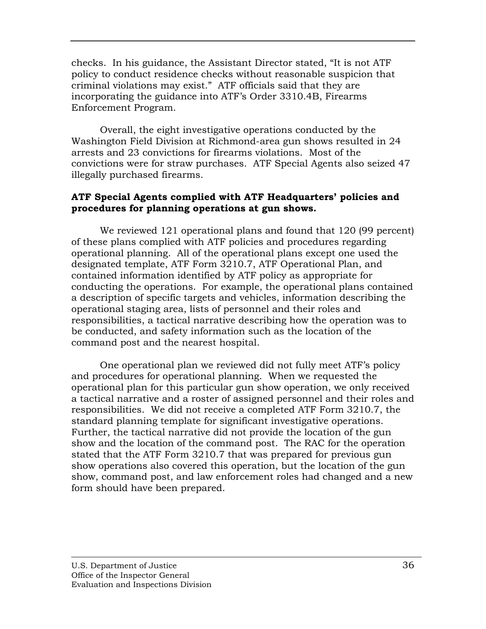<span id="page-48-0"></span>checks. In his guidance, the Assistant Director stated, "It is not ATF policy to conduct residence checks without reasonab le suspicion that criminal violations may exist." ATF officials said that they are incorporating the guidance into ATF's Order 3310.4B, Firearms En forcement Program.

Overall, the eight investigative operations conducted by the Washington Field Division at Richmond-area gun shows resulted in 24 arrests and 23 convictions for firearms violations. Most of the convictions were for straw purchases. ATF Special Agents also seized 47 illegally purchased firearms.

# **ATF Special Agents complied with ATF Headquarters' policies and procedures for planning operations at gun shows.**

We reviewed 121 operational plans and found that 120 (99 percent) of these plans complied with ATF policies and procedures regarding operational planning. All of the operational plans except one used the designated template, ATF Form 3210.7, ATF Operational Plan, and contained information identified by ATF policy as appropriate for conducting the operations. For example, the operational plans contained a description of specific targets and vehicles, information describing the operational staging area, lists of personnel and their roles and responsibilities, a tactical narrative describing how the operation was to be conducted, and safety information such as the location of the command post and the nearest hospital.

One operational plan we reviewed did not fully meet ATF's policy and procedures for operational planning. When we requested the operational plan for this particular gun show operation, we only received a tactical narrative and a roster of assigned personnel and their roles and responsibilities. We did not receive a completed ATF Form 3210.7, the standard planning template for significant investigative operations. Further, the tactical narrative did not provide the location of the gun show and the location of the command post. The RAC for the operation stated that the ATF Form 3210.7 that was prepared for previous gun show operations also covered this operation, but the location of the gun show, command post, and law enforcement roles had changed and a new form should have been prepared.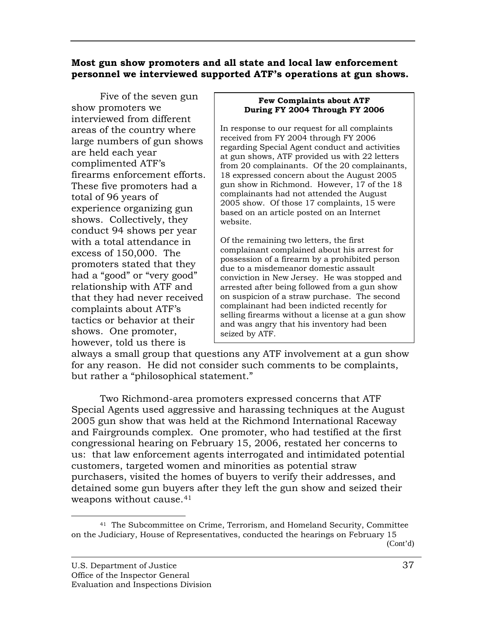# <span id="page-49-0"></span>**Most gun show promoters and all state and local law enfo rcement personnel we interviewed supported ATF's operations at gun shows.**

Five of the seven gun n interviewed from differe t areas of the country where large numbers of gun shows firearms enforcement efforts. These five promoters had a experience organizing gun shows. Collectively, they conduct 94 shows per year with a total attendance in promoters stated that they had a "good" or "very good" relationship with ATF and shows. One promoter, how ever, told us there is show promoters we are held each year complimented ATF's total of 96 years of excess of 150,000. The that they had never received complaints about ATF's tactics or behavior at their

#### Few Complaints about ATF During FY 2004 Through FY 2006

In response to our request for all complaints received from FY 2004 through FY 2006 regarding Special Agent conduct and activities at gun shows, ATF provided us with 22 letters 20 complainants, from 20 complainants. Of the 18 expressed concern about the August 2005 gun show in Richmond. However, 17 of the 18 complainants had not attended the August 2005 show. Of those 17 complaints, 15 were based on an article posted on an Internet website.

Of the remaining two letters, the first complainant complained about his arrest for possession of a firearm by a prohibited person due to a misdemeanor domestic assault conviction in New Jersey. He was stopped and arrested after being followed from a gun show on suspicion of a straw purchase. The second complainant had been indicted recently for selling firearms without a license at a gun show and was angry that his inventory had been seized by ATF.

always a small group that questions any ATF involvement at a gun show for any reason. He did not consider such comments to be complaints, but rather a "philosophical statement."

Two Richmond-area promoters expressed concerns that ATF Special Agents used aggressive and harassing techniques at the August 2005 gun show that was held at the Richmond International Raceway and Fairgrounds complex. One promoter, who had testified at the first congressional hearing on February 15, 2006, restated her concerns to us: that law enforcement agents interrogated and intimidated potential customers, targeted women and minorities as potential straw purchasers, visited the homes of buyers to verify their addresses, and detained some gun buyers after they left the gun show and seized their weapons without cause.<sup>41</sup>

<sup>1</sup> 41 The Subcommittee on Crime, Terrorism, and Homeland Security, Committee on the Judiciary, House of Representatives, conducted the hearings on February 15 (Cont'd)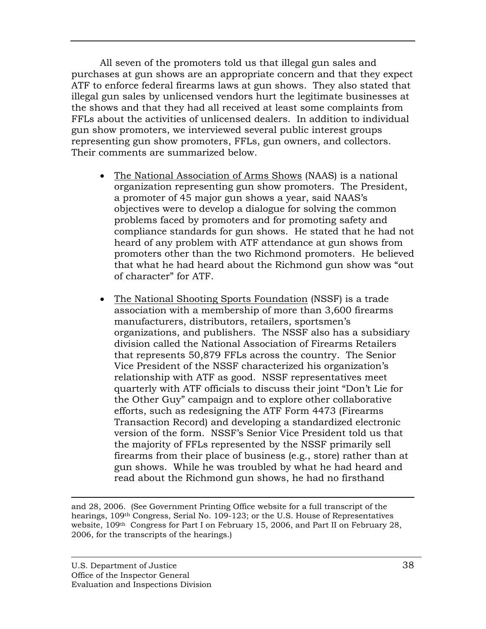All seven of the promoters told us that illegal gun sales and purchases at gun shows are an appropriate concern and that they expect ATF to enforce federal firearms laws at gun shows. They also stated that illegal gun sales by unlicensed vendors hurt the legitimate bu sinesses at the shows and that they had all received at least some compla ints from FFLs about the activities of unlicensed dealers. In addition to individual gun show promoters, we interview ed several public interest groups representing gun show promoters, FFLs, gun owners, and collectors. Their comments are summarized below.

- The National Association of Arms Shows (NAAS) is a national organization representing gun show promoters. T he President, a promoter of 45 major gun shows a year, said NAAS 's objectives were to develop a dialogue for solving the common problems faced by promoters and for promoting safet y and compliance standards for gun shows. He stated that he had not heard of any pro blem with ATF attendance at gun shows from promoters other than the two Richmond promoters. He believed that what he had heard about the Richmond gun show was "out of character" for ATF.
- The National Shooting Sports Foundation (NSSF) is a trade association with a membership of more than 3,60 0 firearms manufacturers, distributors, retailers, sportsme n's organizations, and publishers. The NSSF also has a subsidiary division called the National Association of Firearm s Retailers that represents 50,879 FFLs across the country . The Senior Vice President of the NSSF characterized his organ ization's relationship with ATF as good. NSSF representativ es meet quarterly with ATF officials to discuss their joint "Do n't Lie for the Other Guy" campaign and to explore other colla borative efforts, such as redesigning the ATF Form 4473 (Firearms Transaction Record) and developing a standardized electronic version of the form. NSSF's Senior Vice President told us that the majority of FFLs represented by the NSSF primarily sell firearms from their place of business (e.g., store) rather than at gun shows. While he was troubled by what he had heard and read about the Richmond gun shows, he had no firsthand

1 and 28, 2006. (See Government Printing Office website for a full transcript of the hearings, 109<sup>th</sup> Congress, Serial No. 109-123; or the U.S. House of Representatives website, 109th Congress for Part I on February 15, 2006, and Part II on February 28, 2006, for the transcripts of the hearings.)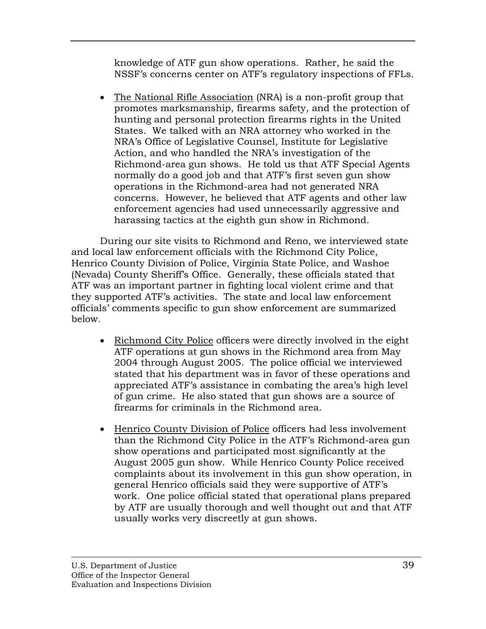knowledge of ATF gun show operations. Rather, he said the NSSF's concerns center on ATF's regulatory inspections of FFLs.

• The National Rifle Association (NRA) is a non-profit group that promotes marksmanship, firearms safety, and the protection of hunting and personal protection firearms rights in the United States. We talked with an NRA attorney who worked in the NRA's Office of Legislative Counsel, Institute for Legi slative Action, and who handled the NRA's investigation of the Richmond-area gun shows. He told us that ATF Special Agents normally do a good job and that ATF's first seven gu n show operations in the Richmond-area had not generate d NRA concerns. However, he believed that ATF agents and other law enforcement agencies had used unnecessarily aggressive and harassing tactics at the eighth gun show in Richmond.

During our site visits to Richmond and Reno, we interviewed state and local law enforcement officials with the Richmond City Police, Henrico County Division of Police, Virginia State Police, and Washoe (Nevada) County Sheriff's Office. Generally, these officials stated that they supported ATF's activities. The state and local law enforcement ATF was an important partner in fighting local violent crime and that officials' comments specific to gun show enforcement are summarized below.

- Richmond City Police officers were directly involved in the eight ATF operations at gun shows in the R ichmond area from May stated that his department was in favor of these operations and appreciated ATF's assistance in combating the area's high level of gun crime. He also stated that gun shows are a source of 2004 through August 2005. The police official we interviewed firearms for criminals in the Richmond area.
- Henrico County Division of Police officers had less involvement than the Richmond City Police in the ATF's Richmon d-area gun show operations and participated most significantly at the August 2005 gun show. While Henrico County Police received complaints about its involvement in this gun show operation, in general Henrico officials said they were supportive of ATF's work. One police official stated that operational plans prepared by ATF are usually thorough and well thought out and that ATF usually works very discreetly at gun shows.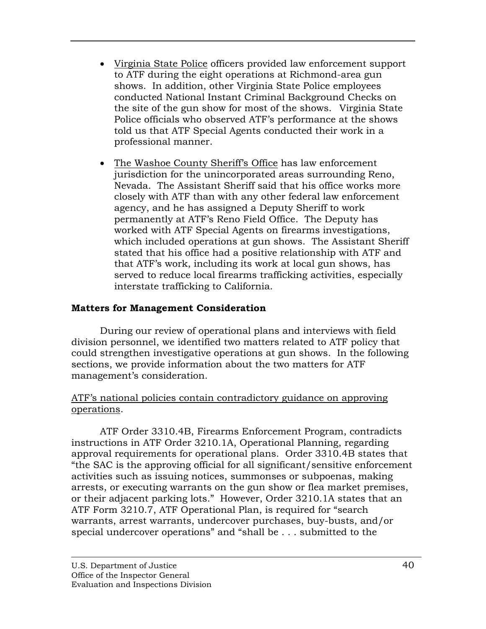- <span id="page-52-0"></span>• Virginia State Police officers provided law enfor cement support to ATF during the eight operations at Richmon d-area gun shows. In addition, other Virginia State Police emp loyees conducted National Instant Criminal Background C hecks on the site of the gun show for most of the shows. Virginia State Police officials who observed ATF's performance at the shows told us that ATF Special Agents conducted their work in a professional manner.
- The Washoe County Sheriff's Office has law enforcement jurisdiction for the unincorporated areas surround ing Reno, Nevada. The Assistant Sheriff said that his off ice works more closely with ATF than with any other federal law enforcement agency, and he has assigned a Deputy Sheriff to wor k permanently at ATF's Reno Field Office. The Depu ty has worked with ATF Special Agents on firearms invest igations, which included operations at gun shows. The Assi stant Sheriff stated that his office had a positive relationship with ATF and that ATF's work, including its work at local gun shows, has served to reduce local firearms trafficking activities, especially interstate trafficking to California.

# **Matters for Management Consideration**

 During our review of operational plans and interviews with field division personnel, we identified two matters related to ATF policy that could strengthen investigative operations at gun shows. In the following sections, we provide information about the two matters for ATF management's consideration.

# ATF's national policies contain contradictory guidance on approving operations.

ATF Order 3310.4B, Firearms Enforcement Program, contradicts instructions in ATF Order 3210.1A, Operational Planning, regarding approval requirements for operational plans. Order 3310. 4B states that "the SAC is the approving official for all significant/sensitive enforcement activities such as issuing notices, summonses or subpoenas, making arrests, or executing warrants on the gun show or flea market premises, or their adjacent parking lots." However, Order 3210.1A states that an ATF Form 3210.7, ATF Operational Plan, is required for "search warrants, arrest warrants, undercover purchases, buy-busts, and/or special undercover operations" and "shall be . . . submitted to the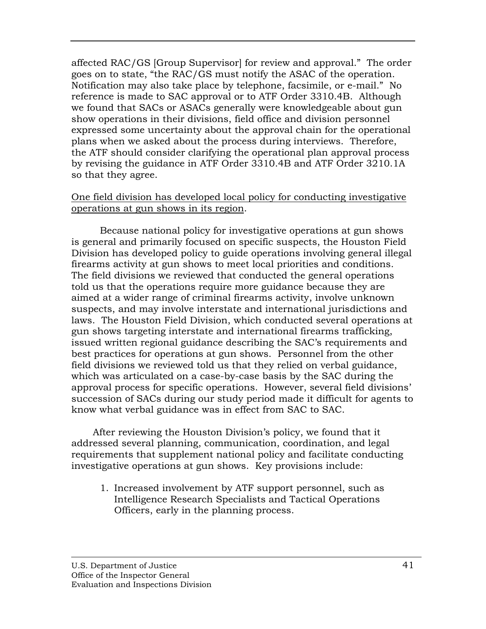affected RAC/GS [Group Supervisor] for review and approva l." The order goes on to state, "the RAC/GS must notify the ASAC of the o peration. Notification may also take place by telephone, facsimile, or e -mail." No reference is made to SAC approval or to ATF Order 3310.4B . Although we found that SACs or ASACs generally were knowledgeable a bout gun show operations in their divisions, field office and division pe rsonnel expressed some uncertainty about the approval chain for the operational plans when we asked about the process during interviews. T herefore, the ATF should consider clarifying the operational plan approval process by revising the guidance in ATF Order 3310.4B and ATF Order 3210.1A so that they agree.

# One field division has developed local policy for conducting investigative operations at gun shows in its region.

Because national policy for investigative operations a t gun shows is general and primarily focused on specific suspects, the H ouston Field Division has developed policy to guide operations involving general illegal firearms activity at gun shows to meet local priorities and con ditions. The field divisions we reviewed that conducted the general ope rations told us that the operations require more guidance because they are aimed at a wider range of criminal firearms activity, involve u nknown suspects, and may involve interstate and international juris dictions and laws. The Houston Field Division, which conducted severa l operations at gun shows targeting interstate and international firearms traf ficking, issued written regional guidance describing the SAC's requirem ents and best practices for operations at gun shows. Person nel from the other field divisions we reviewed told us that they relied on verbal guidance, which was articulated on a case-by-case basis by the SAC during the approval process for specific operations. However, several field divisions' succession of SACs during our study period made it difficult for agents to know what verbal guidance was in effect from SAC to SAC.

requirements that supplement national policy and facilitate conducting investigative operations at gun shows. Key provisions include: After reviewing the Houston Division's policy, we found that it addressed several planning, communication, coordination, and legal

1. Increased involvement by ATF support personnel, such as Intelligence Research Specialists and Tactical Operations Officers, early in the planning process.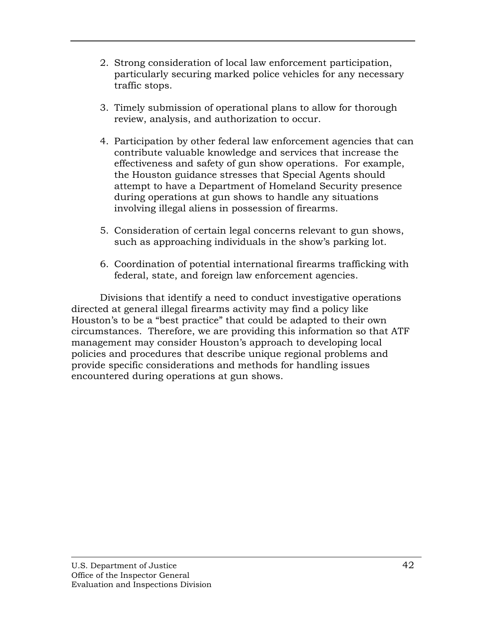- 2. Strong consideration of local law enforcement parti cipation, particular ly securing marked police vehicles for any necessary traffic stops.
- 3. Timely submission of operational plans to allow for thorough review, analysis, and authorization to occur.
- 4. Participation by other federal law enforcement agencies that can contribute valuable knowledge and services that increase the effectiveness and safety of gun show operations. For example, the Houston guidance stresses that Special Agents should during operations at gun shows to handle any situations attempt to have a Department of Homeland Security presence involving illegal aliens in possession of firearms.
- 5. Consideration of certain legal concerns relevant to gun shows, such as approaching individuals in the show's parking lot.
- 6. Coordination of potential international firearms trafficking with federal, state, and foreign law enforcement agencies.

Divisions that identify a need to conduct investigative operations directed at general illegal firearms activity may find a policy like Houston's to be a "best practice" that could be adapted to their own circumstances. Therefore, we are providing this information so that ATF management may consider Houston's approach to developing local policies and procedures that describe unique regional problems and provide specific considerations and methods for handling issues encountered during operations at gun shows.